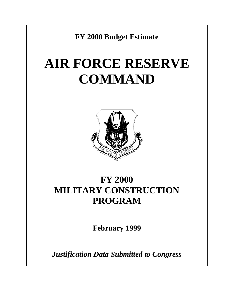**FY 2000 Budget Estimate**

# **AIR FORCE RESERVE COMMAND**



## **FY 2000 MILITARY CONSTRUCTION PROGRAM**

**February 1999**

*Justification Data Submitted to Congress*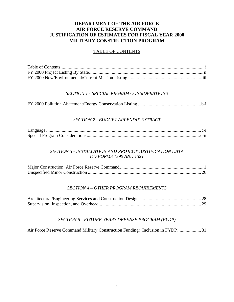#### **DEPARTMENT OF THE AIR FORCE AIR FORCE RESERVE COMMAND JUSTIFICATION OF ESTIMATES FOR FISCAL YEAR 2000 MILITARY CONSTRUCTION PROGRAM**

#### TABLE OF CONTENTS

#### *SECTION 1 - SPECIAL PRGRAM CONSIDERATIONS*

#### *SECTION 2 - BUDGET APPENDIX EXTRACT*

#### *SECTION 3 - INSTALLATION AND PROJECT JUSTIFICATION DATA DD FORMS 1390 AND 1391*

#### *SECTION 4 – OTHER PROGRAM REQUIREMENTS*

#### *SECTION 5 - FUTURE-YEARS DEFENSE PROGRAM (FYDP)*

Air Force Reserve Command Military Construction Funding: Inclusion in FYDP.................... 31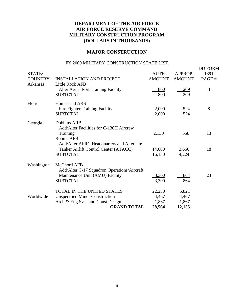#### **DEPARTMENT OF THE AIR FORCE AIR FORCE RESERVE COMMAND MILITARY CONSTRUCTION PROGRAM (DOLLARS IN THOUSANDS)**

#### **MAJOR CONSTRUCTION**

#### FY 2000 MILITARY CONSTRUCTION STATE LIST

| STATE/         |                                                                | <b>AUTH</b>   | <b>APPROP</b> | <b>DD FORM</b><br>1391 |
|----------------|----------------------------------------------------------------|---------------|---------------|------------------------|
| <b>COUNTRY</b> | <b>INSTALLATION AND PROJECT</b>                                | <b>AMOUNT</b> | <b>AMOUNT</b> | PAGE #                 |
| Arkansas       | <b>Little Rock AFB</b>                                         |               |               |                        |
|                | Alter Aerial Port Training Facility                            | 800           | <u>209</u>    | 3                      |
|                | <b>SUBTOTAL</b>                                                | 800           | 209           |                        |
| Florida        | <b>Homestead ARS</b>                                           |               |               |                        |
|                | Fire Fighter Training Facility                                 | 2,000         | <u>524</u>    | 8                      |
|                | <b>SUBTOTAL</b>                                                | 2,000         | 524           |                        |
| Georgia        | <b>Dobbins ARB</b><br>Add/Alter Facilities for C-130H Aircrew  |               |               |                        |
|                | Training                                                       | 2,130         | 558           | 13                     |
|                | <b>Robins AFB</b><br>Add/Alter AFRC Headquarters and Alternate |               |               |                        |
|                | Tanker Airlift Control Center (ATACC)                          | <u>14,000</u> | <u>3,666</u>  | 18                     |
|                | <b>SUBTOTAL</b>                                                | 16,130        | 4,224         |                        |
| Washington     | McChord AFB<br>Add/Alter C-17 Squadron Operations/Aircraft     |               |               |                        |
|                | Maintenance Unit (AMU) Facility                                | 3,300         | 864           | 23                     |
|                | <b>SUBTOTAL</b>                                                | 3,300         | 864           |                        |
|                | <b>TOTAL IN THE UNITED STATES</b>                              | 22,230        | 5,821         |                        |
| Worldwide      | <b>Unspecified Minor Construction</b>                          | 4,467         | 4,467         |                        |
|                | Arch & Eng Svsc and Const Design                               | 1,867         | 1,867         |                        |
|                | <b>GRAND TOTAL</b>                                             | 28,564        | 12,155        |                        |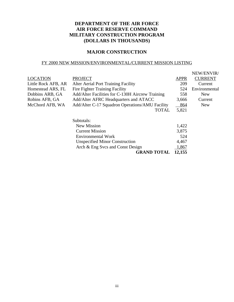#### **DEPARTMENT OF THE AIR FORCE AIR FORCE RESERVE COMMAND MILITARY CONSTRUCTION PROGRAM (DOLLARS IN THOUSANDS)**

#### **MAJOR CONSTRUCTION**

#### FY 2000 NEW MISSION/ENVIRONMENTAL/CURRENT MISSION LISTING

|                     |                                                  |             | NEW/ENVIR/     |
|---------------------|--------------------------------------------------|-------------|----------------|
| <b>LOCATION</b>     | <b>PROJECT</b>                                   | <b>APPR</b> | <b>CURRENT</b> |
| Little Rock AFB, AR | <b>Alter Aerial Port Training Facility</b>       | 209         | Current        |
| Homestead ARS, FL   | <b>Fire Fighter Training Facility</b>            | 524         | Environmental  |
| Dobbins ARB, GA     | Add/Alter Facilities for C-130H Aircrew Training | 558         | <b>New</b>     |
| Robins AFB, GA      | Add/Alter AFRC Headquarters and ATACC            | 3,666       | Current        |
| McChord AFB, WA     | Add/Alter C-17 Squadron Operations/AMU Facility  | 864         | <b>New</b>     |
|                     | <b>TOTAL</b>                                     | 5,821       |                |
|                     | Subtotals:                                       |             |                |
|                     | <b>New Mission</b>                               | 1,422       |                |
|                     | <b>Current Mission</b>                           | 3,875       |                |
|                     | <b>Environmental Work</b>                        | 524         |                |
|                     | <b>Unspecified Minor Construction</b>            | 4,467       |                |
|                     | Arch & Eng Svcs and Const Design                 | 1,867       |                |

**GRAND TOTAL 12,155**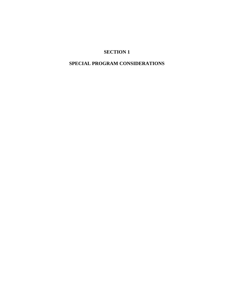#### **SPECIAL PROGRAM CONSIDERATIONS**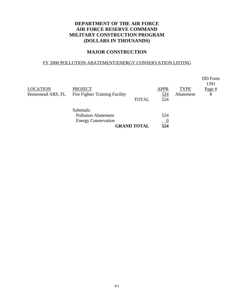#### **DEPARTMENT OF THE AIR FORCE AIR FORCE RESERVE COMMAND MILITARY CONSTRUCTION PROGRAM (DOLLARS IN THOUSANDS)**

#### **MAJOR CONSTRUCTION**

#### FY 2000 POLLUTION ABATEMENT/ENERGY CONSERVATION LISTING

|                   |                                       |                    |             |             | DD Form<br>1391 |
|-------------------|---------------------------------------|--------------------|-------------|-------------|-----------------|
| <b>LOCATION</b>   | <b>PROJECT</b>                        |                    | <b>APPR</b> | <b>TYPE</b> | Page $#$        |
| Homestead ARS, FL | <b>Fire Fighter Training Facility</b> |                    | 524         | Abatement   | 8               |
|                   |                                       | <b>TOTAL</b>       | 524         |             |                 |
|                   | Subtotals:                            |                    |             |             |                 |
|                   | <b>Pollution Abatement</b>            |                    | 524         |             |                 |
|                   | <b>Energy Conservation</b>            |                    | $\sqrt{0}$  |             |                 |
|                   |                                       | <b>GRAND TOTAL</b> | 524         |             |                 |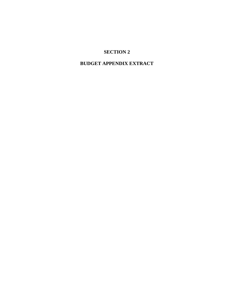#### **BUDGET APPENDIX EXTRACT**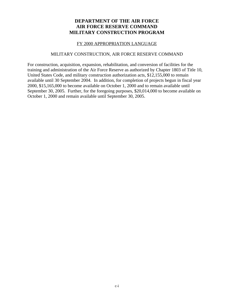#### **DEPARTMENT OF THE AIR FORCE AIR FORCE RESERVE COMMAND MILITARY CONSTRUCTION PROGRAM**

#### FY 2000 APPROPRIATION LANGUAGE

#### MILITARY CONSTRUCTION, AIR FORCE RESERVE COMMAND

For construction, acquisition, expansion, rehabilitation, and conversion of facilities for the training and administration of the Air Force Reserve as authorized by Chapter 1803 of Title 10, United States Code, and military construction authorization acts, \$12,155,000 to remain available until 30 September 2004. In addition, for completion of projects begun in fiscal year 2000, \$15,165,000 to become available on October 1, 2000 and to remain available until September 30, 2005. Further, for the foregoing purposes, \$20,014,000 to become available on October 1, 2000 and remain available until September 30, 2005.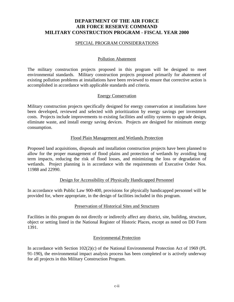#### **DEPARTMENT OF THE AIR FORCE AIR FORCE RESERVE COMMAND MILITARY CONSTRUCTION PROGRAM - FISCAL YEAR 2000**

#### SPECIAL PROGRAM CONSIDERATIONS

#### Pollution Abatement

The military construction projects proposed in this program will be designed to meet environmental standards. Military construction projects proposed primarily for abatement of existing pollution problems at installations have been reviewed to ensure that corrective action is accomplished in accordance with applicable standards and criteria.

#### Energy Conservation

Military construction projects specifically designed for energy conservation at installations have been developed, reviewed and selected with prioritization by energy savings per investment costs. Projects include improvements to existing facilities and utility systems to upgrade design, eliminate waste, and install energy saving devices. Projects are designed for minimum energy consumption.

#### Flood Plain Management and Wetlands Protection

Proposed land acquisitions, disposals and installation construction projects have been planned to allow for the proper management of flood plains and protection of wetlands by avoiding long term impacts, reducing the risk of flood losses, and minimizing the loss or degradation of wetlands. Project planning is in accordance with the requirements of Executive Order Nos. 11988 and 22990.

#### Design for Accessibility of Physically Handicapped Personnel

In accordance with Public Law 900-400, provisions for physically handicapped personnel will be provided for, where appropriate, in the design of facilities included in this program.

#### Preservation of Historical Sites and Structures

Facilities in this program do not directly or indirectly affect any district, site, building, structure, object or setting listed in the National Register of Historic Places, except as noted on DD Form 1391.

#### Environmental Protection

In accordance with Section 102(2)(c) of the National Environmental Protection Act of 1969 (PL 91-190), the environmental impact analysis process has been completed or is actively underway for all projects in this Military Construction Program.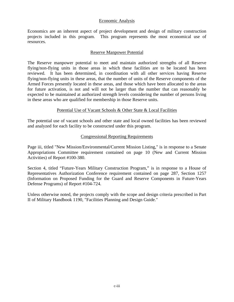#### Economic Analysis

Economics are an inherent aspect of project development and design of military construction projects included in this program. This program represents the most economical use of resources.

#### Reserve Manpower Potential

The Reserve manpower potential to meet and maintain authorized strengths of all Reserve flying/non-flying units in those areas in which these facilities are to be located has been reviewed. It has been determined, in coordination with all other services having Reserve flying/non-flying units in these areas, that the number of units of the Reserve components of the Armed Forces presently located in these areas, and those which have been allocated to the areas for future activation, is not and will not be larger than the number that can reasonably be expected to be maintained at authorized strength levels considering the number of persons living in these areas who are qualified for membership in those Reserve units.

#### Potential Use of Vacant Schools & Other State & Local Facilities

The potential use of vacant schools and other state and local owned facilities has been reviewed and analyzed for each facility to be constructed under this program.

#### Congressional Reporting Requirements

Page iii, titled "New Mission/Environmental/Current Mission Listing," is in response to a Senate Appropriations Committee requirement contained on page 10 (New and Current Mission Activities) of Report #100-380.

Section 4, titled "Future-Years Military Construction Program," is in response to a House of Representatives Authorization Conference requirement contained on page 287, Section 1257 (Information on Proposed Funding for the Guard and Reserve Components in Future-Years Defense Programs) of Report #104-724.

Unless otherwise noted, the projects comply with the scope and design criteria prescribed in Part II of Military Handbook 1190, "Facilities Planning and Design Guide."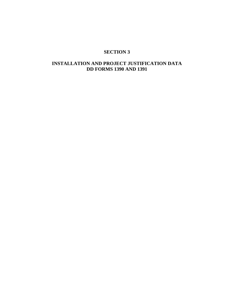#### **INSTALLATION AND PROJECT JUSTIFICATION DATA DD FORMS 1390 AND 1391**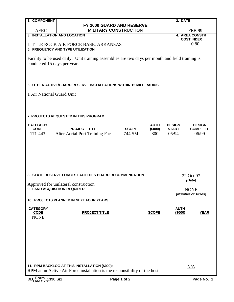| 1. COMPONENT                 |                                                                                                  |              |              | 2. DATE       |                           |  |  |  |  |
|------------------------------|--------------------------------------------------------------------------------------------------|--------------|--------------|---------------|---------------------------|--|--|--|--|
|                              | FY 2000 GUARD AND RESERVE                                                                        |              |              |               |                           |  |  |  |  |
| <b>AFRC</b>                  | <b>MILITARY CONSTRUCTION</b>                                                                     |              |              |               | <b>FEB 99</b>             |  |  |  |  |
| 3. INSTALLATION AND LOCATION |                                                                                                  |              |              |               | <b>4. AREA CONSTR</b>     |  |  |  |  |
|                              |                                                                                                  |              |              |               | <b>COST INDEX</b><br>0.80 |  |  |  |  |
|                              | LITTLE ROCK AIR FORCE BASE, ARKANSAS<br>5. FREQUENCY AND TYPE UTILIZATION                        |              |              |               |                           |  |  |  |  |
|                              |                                                                                                  |              |              |               |                           |  |  |  |  |
|                              | Facility to be used daily. Unit training assemblies are two days per month and field training is |              |              |               |                           |  |  |  |  |
| conducted 15 days per year.  |                                                                                                  |              |              |               |                           |  |  |  |  |
|                              |                                                                                                  |              |              |               |                           |  |  |  |  |
|                              |                                                                                                  |              |              |               |                           |  |  |  |  |
|                              |                                                                                                  |              |              |               |                           |  |  |  |  |
|                              | 6. OTHER ACTIVE/GUARD/RESERVE INSTALLATIONS WITHIN 15 MILE RADIUS                                |              |              |               |                           |  |  |  |  |
| 1 Air National Guard Unit    |                                                                                                  |              |              |               |                           |  |  |  |  |
|                              |                                                                                                  |              |              |               |                           |  |  |  |  |
|                              |                                                                                                  |              |              |               |                           |  |  |  |  |
|                              |                                                                                                  |              |              |               |                           |  |  |  |  |
|                              | 7. PROJECTS REQUESTED IN THIS PROGRAM                                                            |              |              |               |                           |  |  |  |  |
|                              |                                                                                                  |              |              |               |                           |  |  |  |  |
| <b>CATEGORY</b>              |                                                                                                  |              | <b>AUTH</b>  | <b>DESIGN</b> | <b>DESIGN</b>             |  |  |  |  |
| <b>CODE</b>                  | <b>PROJECT TITLE</b>                                                                             | <b>SCOPE</b> | (\$000)      | <b>START</b>  | <b>COMPLETE</b>           |  |  |  |  |
| 171-443                      | Alter Aerial Port Training Fac                                                                   | 744 SM       | 800          | 05/94         | 06/99                     |  |  |  |  |
|                              |                                                                                                  |              |              |               |                           |  |  |  |  |
|                              |                                                                                                  |              |              |               |                           |  |  |  |  |
|                              |                                                                                                  |              |              |               |                           |  |  |  |  |
|                              |                                                                                                  |              |              |               |                           |  |  |  |  |
|                              |                                                                                                  |              |              |               |                           |  |  |  |  |
|                              |                                                                                                  |              |              |               |                           |  |  |  |  |
|                              | 8. STATE RESERVE FORCES FACILITIES BOARD RECOMMENDATION                                          |              |              |               | 22 Oct 97                 |  |  |  |  |
|                              |                                                                                                  |              |              |               | (Date)                    |  |  |  |  |
| 9. LAND ACQUISITION REQUIRED | Approved for unilateral construction.                                                            |              |              |               |                           |  |  |  |  |
|                              |                                                                                                  |              |              | <b>NONE</b>   | (Number of Acres)         |  |  |  |  |
|                              | <b>10. PROJECTS PLANNED IN NEXT FOUR YEARS</b>                                                   |              |              |               |                           |  |  |  |  |
|                              |                                                                                                  |              |              |               |                           |  |  |  |  |
| <b>CATEGORY</b>              |                                                                                                  |              |              | <b>AUTH</b>   |                           |  |  |  |  |
| <b>CODE</b><br><b>NONE</b>   | <b>PROJECT TITLE</b>                                                                             |              | <b>SCOPE</b> | (\$000)       | <b>YEAR</b>               |  |  |  |  |
|                              |                                                                                                  |              |              |               |                           |  |  |  |  |
|                              |                                                                                                  |              |              |               |                           |  |  |  |  |
|                              |                                                                                                  |              |              |               |                           |  |  |  |  |
|                              |                                                                                                  |              |              |               |                           |  |  |  |  |
|                              |                                                                                                  |              |              |               |                           |  |  |  |  |
|                              |                                                                                                  |              |              |               |                           |  |  |  |  |
|                              |                                                                                                  |              |              |               |                           |  |  |  |  |
|                              |                                                                                                  |              |              |               |                           |  |  |  |  |
|                              | 11. RPM BACKLOG AT THIS INSTALLATION (\$000):                                                    |              |              |               | N/A                       |  |  |  |  |
|                              | RPM at an Active Air Force installation is the responsibility of the host.                       |              |              |               |                           |  |  |  |  |
|                              |                                                                                                  |              |              |               |                           |  |  |  |  |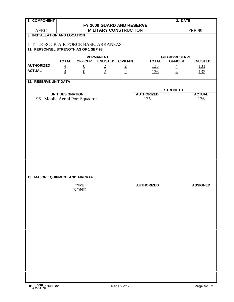| 1. COMPONENT                            | 2. DATE                      |                                                                         |                                       |               |                   |                                        |                 |
|-----------------------------------------|------------------------------|-------------------------------------------------------------------------|---------------------------------------|---------------|-------------------|----------------------------------------|-----------------|
|                                         | FY 2000 GUARD AND RESERVE    |                                                                         |                                       |               |                   |                                        |                 |
| <b>AFRC</b>                             | <b>MILITARY CONSTRUCTION</b> |                                                                         |                                       |               |                   |                                        | <b>FEB 99</b>   |
| 3. INSTALLATION AND LOCATION            |                              |                                                                         |                                       |               |                   |                                        |                 |
| LITTLE ROCK AIR FORCE BASE, ARKANSAS    |                              |                                                                         |                                       |               |                   |                                        |                 |
| 11. PERSONNEL STRENGTH AS OF 1 SEP 98   |                              |                                                                         |                                       |               |                   |                                        |                 |
|                                         |                              |                                                                         |                                       |               |                   |                                        |                 |
|                                         | <b>TOTAL</b>                 | <b>OFFICER</b>                                                          | <b>PERMANENT</b><br>ENLISTED CIVILIAN |               | <b>TOTAL</b>      | <b>GUARD/RESERVE</b><br><b>OFFICER</b> | <b>ENLISTED</b> |
| <b>AUTHORIZED</b>                       |                              | $\overline{0}$                                                          |                                       |               | $\underline{135}$ | $\overline{4}$                         | <u>131</u>      |
| <b>ACTUAL</b>                           | $\frac{4}{4}$                | $\overline{0}$                                                          | $\frac{2}{2}$                         | $\frac{2}{2}$ | 136               | $\overline{4}$                         | 132             |
|                                         |                              |                                                                         |                                       |               |                   |                                        |                 |
| <b>12. RESERVE UNIT DATA</b>            |                              |                                                                         |                                       |               |                   |                                        |                 |
|                                         |                              |                                                                         |                                       |               |                   | <b>STRENGTH</b>                        |                 |
|                                         |                              |                                                                         |                                       |               | <b>AUTHORIZED</b> |                                        | <b>ACTUAL</b>   |
|                                         |                              | <b>UNIT DESIGNATION</b><br>96 <sup>th</sup> Mobile Aerial Port Squadron |                                       |               | 135               |                                        | 136             |
|                                         |                              |                                                                         |                                       |               |                   |                                        |                 |
|                                         |                              |                                                                         |                                       |               |                   |                                        |                 |
|                                         |                              |                                                                         |                                       |               |                   |                                        |                 |
|                                         |                              |                                                                         |                                       |               |                   |                                        |                 |
|                                         |                              |                                                                         |                                       |               |                   |                                        |                 |
|                                         |                              |                                                                         |                                       |               |                   |                                        |                 |
|                                         |                              |                                                                         |                                       |               |                   |                                        |                 |
|                                         |                              |                                                                         |                                       |               |                   |                                        |                 |
|                                         |                              |                                                                         |                                       |               |                   |                                        |                 |
|                                         |                              |                                                                         |                                       |               |                   |                                        |                 |
|                                         |                              |                                                                         |                                       |               |                   |                                        |                 |
|                                         |                              |                                                                         |                                       |               |                   |                                        |                 |
|                                         |                              |                                                                         |                                       |               |                   |                                        |                 |
| <b>13. MAJOR EQUIPMENT AND AIRCRAFT</b> |                              |                                                                         |                                       |               |                   |                                        |                 |
|                                         |                              | <b>TYPE</b>                                                             |                                       |               | <b>AUTHORIZED</b> |                                        | <b>ASSIGNED</b> |
|                                         |                              | <b>NONE</b>                                                             |                                       |               |                   |                                        |                 |
|                                         |                              |                                                                         |                                       |               |                   |                                        |                 |
|                                         |                              |                                                                         |                                       |               |                   |                                        |                 |
|                                         |                              |                                                                         |                                       |               |                   |                                        |                 |
|                                         |                              |                                                                         |                                       |               |                   |                                        |                 |
|                                         |                              |                                                                         |                                       |               |                   |                                        |                 |
|                                         |                              |                                                                         |                                       |               |                   |                                        |                 |
|                                         |                              |                                                                         |                                       |               |                   |                                        |                 |
|                                         |                              |                                                                         |                                       |               |                   |                                        |                 |
|                                         |                              |                                                                         |                                       |               |                   |                                        |                 |
|                                         |                              |                                                                         |                                       |               |                   |                                        |                 |
|                                         |                              |                                                                         |                                       |               |                   |                                        |                 |
|                                         |                              |                                                                         |                                       |               |                   |                                        |                 |
|                                         |                              |                                                                         |                                       |               |                   |                                        |                 |
|                                         |                              |                                                                         |                                       |               |                   |                                        |                 |
|                                         |                              |                                                                         |                                       |               |                   |                                        |                 |
|                                         |                              |                                                                         |                                       |               |                   |                                        |                 |
|                                         |                              |                                                                         |                                       |               |                   |                                        |                 |
| DD <sub>1</sub> Form 1390 S/2           |                              |                                                                         |                                       | Page 2 of 2   |                   |                                        | Page No. 2      |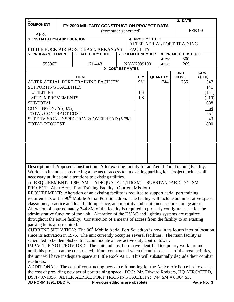| 1.                                                                                                                                                                                                        |  |                                                                                                                   |  |  |                          |  |                 | 2. DATE                    |               |
|-----------------------------------------------------------------------------------------------------------------------------------------------------------------------------------------------------------|--|-------------------------------------------------------------------------------------------------------------------|--|--|--------------------------|--|-----------------|----------------------------|---------------|
| <b>COMPONENT</b>                                                                                                                                                                                          |  | FY 2000 MILITARY CONSTRUCTION PROJECT DATA                                                                        |  |  |                          |  |                 |                            |               |
|                                                                                                                                                                                                           |  | (computer generated)                                                                                              |  |  |                          |  |                 |                            | <b>FEB 99</b> |
| <b>AFRC</b>                                                                                                                                                                                               |  |                                                                                                                   |  |  |                          |  |                 |                            |               |
| 3. INSTALLATION AND LOCATION                                                                                                                                                                              |  |                                                                                                                   |  |  | <b>4. PROJECT TITLE</b>  |  |                 |                            |               |
| ALTER AERIAL PORT TRAINING<br>LITTLE ROCK AIR FORCE BASE, ARKANSAS<br><b>FACILITY</b>                                                                                                                     |  |                                                                                                                   |  |  |                          |  |                 |                            |               |
| <b>5. PROGRAM ELEMENT</b>                                                                                                                                                                                 |  | <b>6. CATEGORY CODE</b>                                                                                           |  |  | <b>7. PROJECT NUMBER</b> |  |                 | 8. PROJECT COST (\$000)    |               |
|                                                                                                                                                                                                           |  |                                                                                                                   |  |  |                          |  | Auth:           | 800                        |               |
| 55396F                                                                                                                                                                                                    |  | 171-443                                                                                                           |  |  | <b>NKAK939100</b>        |  | Appr:           | 209                        |               |
|                                                                                                                                                                                                           |  | 9. COST ESTIMATES                                                                                                 |  |  |                          |  |                 |                            |               |
|                                                                                                                                                                                                           |  |                                                                                                                   |  |  |                          |  |                 | <b>UNIT</b>                | <b>COST</b>   |
|                                                                                                                                                                                                           |  | <b>ITEM</b>                                                                                                       |  |  | U/M                      |  | <b>QUANTITY</b> | <b>COST</b>                | (\$000)       |
|                                                                                                                                                                                                           |  | ALTER AERIAL PORT TRAINING FACILITY                                                                               |  |  | <b>SM</b>                |  | 744             | 735                        | 547           |
| <b>SUPPORTING FACILITIES</b>                                                                                                                                                                              |  |                                                                                                                   |  |  |                          |  |                 |                            | 141           |
| <b>UTILITIES</b>                                                                                                                                                                                          |  |                                                                                                                   |  |  | LS                       |  |                 |                            | (131)         |
| <b>SITE IMPROVEMENTS</b>                                                                                                                                                                                  |  |                                                                                                                   |  |  | LS                       |  |                 |                            | (10)          |
| <b>SUBTOTAL</b>                                                                                                                                                                                           |  |                                                                                                                   |  |  |                          |  |                 |                            | 688           |
| <b>CONTINGENCY (10%)</b>                                                                                                                                                                                  |  |                                                                                                                   |  |  |                          |  |                 |                            | 69            |
| TOTAL CONTRACT COST                                                                                                                                                                                       |  |                                                                                                                   |  |  |                          |  |                 |                            | 757           |
|                                                                                                                                                                                                           |  | SUPERVISION, INSPECTION & OVERHEAD (5.7%)                                                                         |  |  |                          |  |                 |                            | 43            |
| <b>TOTAL REQUEST</b>                                                                                                                                                                                      |  |                                                                                                                   |  |  |                          |  |                 |                            | 800           |
|                                                                                                                                                                                                           |  |                                                                                                                   |  |  |                          |  |                 |                            |               |
|                                                                                                                                                                                                           |  |                                                                                                                   |  |  |                          |  |                 |                            |               |
|                                                                                                                                                                                                           |  |                                                                                                                   |  |  |                          |  |                 |                            |               |
|                                                                                                                                                                                                           |  |                                                                                                                   |  |  |                          |  |                 |                            |               |
|                                                                                                                                                                                                           |  |                                                                                                                   |  |  |                          |  |                 |                            |               |
|                                                                                                                                                                                                           |  |                                                                                                                   |  |  |                          |  |                 |                            |               |
|                                                                                                                                                                                                           |  |                                                                                                                   |  |  |                          |  |                 |                            |               |
|                                                                                                                                                                                                           |  | Description of Proposed Construction: Alter existing facility for an Aerial Port Training Facility.               |  |  |                          |  |                 |                            |               |
|                                                                                                                                                                                                           |  | Work also includes constructing a means of access to an existing parking lot. Project includes all                |  |  |                          |  |                 |                            |               |
|                                                                                                                                                                                                           |  | necessary utilities and alterations to existing utilities.                                                        |  |  |                          |  |                 |                            |               |
|                                                                                                                                                                                                           |  | 11. REQUIREMENT: 1,860 SM ADEQUATE: 1,116 SM                                                                      |  |  |                          |  |                 | <b>SUBSTANDARD: 744 SM</b> |               |
|                                                                                                                                                                                                           |  | <b>PROJECT:</b> Alter Aerial Port Training Facility. (Current Mission)                                            |  |  |                          |  |                 |                            |               |
|                                                                                                                                                                                                           |  | REQUIREMENT: Alteration of an existing facility is required to support aerial port training                       |  |  |                          |  |                 |                            |               |
|                                                                                                                                                                                                           |  | requirements of the 96 <sup>th</sup> Mobile Aerial Port Squadron. The facility will include administrative space, |  |  |                          |  |                 |                            |               |
|                                                                                                                                                                                                           |  | classrooms, practice and load build-up space, and mobility and equipment secure storage areas.                    |  |  |                          |  |                 |                            |               |
|                                                                                                                                                                                                           |  | Alteration of approximately 744 SM of the facility is required to properly configure space for the                |  |  |                          |  |                 |                            |               |
| administrative function of the unit. Alteration of the HVAC and lighting systems are required                                                                                                             |  |                                                                                                                   |  |  |                          |  |                 |                            |               |
| throughout the entire facility. Construction of a means of access from the facility to an existing                                                                                                        |  |                                                                                                                   |  |  |                          |  |                 |                            |               |
| parking lot is also required.                                                                                                                                                                             |  |                                                                                                                   |  |  |                          |  |                 |                            |               |
| <b>CURRENT SITUATION:</b> The 96 <sup>th</sup> Mobile Aerial Port Squadron is now in its fourth interim location                                                                                          |  |                                                                                                                   |  |  |                          |  |                 |                            |               |
| since its activation in 1975. The unit currently occupies several facilities. The main facility is                                                                                                        |  |                                                                                                                   |  |  |                          |  |                 |                            |               |
| scheduled to be demolished to accommodate a new active duty control tower.                                                                                                                                |  |                                                                                                                   |  |  |                          |  |                 |                            |               |
| <b>IMPACT IF NOT PROVIDED:</b> The unit and host base have identified temporary work-arounds<br>until this project can be constructed. If not constructed when the unit loses use of the host facilities, |  |                                                                                                                   |  |  |                          |  |                 |                            |               |
|                                                                                                                                                                                                           |  |                                                                                                                   |  |  |                          |  |                 |                            |               |
|                                                                                                                                                                                                           |  | the unit will have inadequate space at Little Rock AFB. This will substantially degrade their combat              |  |  |                          |  |                 |                            |               |
| readiness.                                                                                                                                                                                                |  |                                                                                                                   |  |  |                          |  |                 |                            |               |
|                                                                                                                                                                                                           |  | ADDITIONAL: The cost of constructing new aircraft parking for the Active Air Force host exceeds                   |  |  |                          |  |                 |                            |               |
|                                                                                                                                                                                                           |  | the cost of providing new aerial port training space. POC: Mr. Edward Rodgers, HQ AFRC/CEPD,                      |  |  |                          |  |                 |                            |               |
|                                                                                                                                                                                                           |  | DSN 497-1056. ALTER AERIAL PORT TRAINING FACILITY: 744 SM = 8,004 SF.                                             |  |  |                          |  |                 |                            |               |
| <b>DD FORM 1391, DEC 76</b>                                                                                                                                                                               |  | Previous editions are obsolete.                                                                                   |  |  |                          |  |                 |                            | Page No. 3    |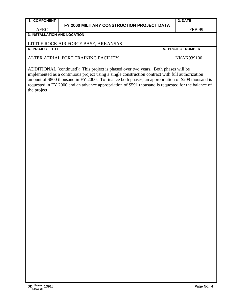|                                     | FY 2000 MILITARY CONSTRUCTION PROJECT DATA |                          |
|-------------------------------------|--------------------------------------------|--------------------------|
| <b>AFRC</b>                         |                                            | <b>FEB 99</b>            |
| <b>3. INSTALLATION AND LOCATION</b> |                                            |                          |
|                                     | LITTLE ROCK AIR FORCE BASE, ARKANSAS       |                          |
| 4. PROJECT TITLE                    |                                            | <b>5. PROJECT NUMBER</b> |
|                                     | ALTER AERIAL PORT TRAINING FACILITY        | NKAK939100               |

**2. DATE**

٦

ADDITIONAL (continued): This project is phased over two years. Both phases will be implemented as a continuous project using a single construction contract with full authorization amount of \$800 thousand in FY 2000. To finance both phases, an appropriation of \$209 thousand is requested in FY 2000 and an advance appropriation of \$591 thousand is requested for the balance of the project.

**1. COMPONENT**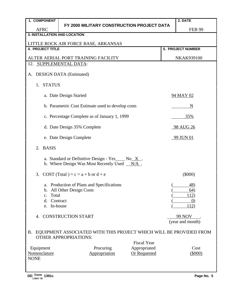| 1. COMPONENT                                             |                                                                                                                 | 2. DATE                                         |  |  |  |  |  |  |  |
|----------------------------------------------------------|-----------------------------------------------------------------------------------------------------------------|-------------------------------------------------|--|--|--|--|--|--|--|
| <b>AFRC</b>                                              | FY 2000 MILITARY CONSTRUCTION PROJECT DATA                                                                      | <b>FEB 99</b>                                   |  |  |  |  |  |  |  |
| <b>3. INSTALLATION AND LOCATION</b>                      |                                                                                                                 |                                                 |  |  |  |  |  |  |  |
|                                                          | LITTLE ROCK AIR FORCE BASE, ARKANSAS                                                                            |                                                 |  |  |  |  |  |  |  |
| <b>4. PROJECT TITLE</b>                                  |                                                                                                                 | <b>5. PROJECT NUMBER</b>                        |  |  |  |  |  |  |  |
| ALTER AERIAL PORT TRAINING FACILITY<br><b>NKAK939100</b> |                                                                                                                 |                                                 |  |  |  |  |  |  |  |
| 12. SUPPLEMENTAL DATA:                                   |                                                                                                                 |                                                 |  |  |  |  |  |  |  |
| Α.                                                       | <b>DESIGN DATA (Estimated)</b>                                                                                  |                                                 |  |  |  |  |  |  |  |
| <b>STATUS</b><br>1.                                      |                                                                                                                 |                                                 |  |  |  |  |  |  |  |
|                                                          | a. Date Design Started                                                                                          | 94 MAY 02                                       |  |  |  |  |  |  |  |
|                                                          | b. Parametric Cost Estimate used to develop costs                                                               | N                                               |  |  |  |  |  |  |  |
|                                                          | c. Percentage Complete as of January 1, 1999                                                                    | 35%                                             |  |  |  |  |  |  |  |
|                                                          | d. Date Design 35% Complete                                                                                     | 98 AUG 26                                       |  |  |  |  |  |  |  |
|                                                          | e. Date Design Complete                                                                                         | 99 JUN 01                                       |  |  |  |  |  |  |  |
| <b>BASIS</b><br>2.                                       |                                                                                                                 |                                                 |  |  |  |  |  |  |  |
|                                                          | a. Standard or Definitive Design - Yes $\_\text{No} \times$ .<br>b. Where Design Was Most Recently Used $N/A$ . |                                                 |  |  |  |  |  |  |  |
|                                                          | 3. COST (Total) = $c = a + b$ or $d + e$                                                                        | $(\$000)$                                       |  |  |  |  |  |  |  |
| Total<br>$C_{\bullet}$<br>d.<br>e. In-house              | a. Production of Plans and Specifications<br>b. All Other Design Costs<br>Contract                              | 48)<br>64)<br>112)<br>$\left( 0\right)$<br>112) |  |  |  |  |  |  |  |
| 4 <sup>1</sup>                                           | <b>CONSTRUCTION START</b>                                                                                       | <b>99 NOV</b><br>(year and month)               |  |  |  |  |  |  |  |
| <b>B.</b>                                                | EQUIPMENT ASSOCIATED WITH THIS PROJECT WHICH WILL BE PROVIDED FROM<br><b>OTHER APPROPRIATIONS:</b>              |                                                 |  |  |  |  |  |  |  |
| Equipment                                                | <b>Fiscal Year</b><br>Procuring<br>Appropriated                                                                 | Cost                                            |  |  |  |  |  |  |  |
| Nomenclature                                             | Appropriation<br><b>Or Requested</b>                                                                            | (5000)                                          |  |  |  |  |  |  |  |
| <b>NONE</b>                                              |                                                                                                                 |                                                 |  |  |  |  |  |  |  |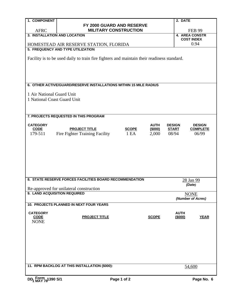| 1. COMPONENT                 |                                                                                            |                         | 2. DATE                                    |                 |
|------------------------------|--------------------------------------------------------------------------------------------|-------------------------|--------------------------------------------|-----------------|
|                              | FY 2000 GUARD AND RESERVE                                                                  |                         |                                            |                 |
| <b>AFRC</b>                  | <b>MILITARY CONSTRUCTION</b>                                                               |                         | <b>FEB 99</b>                              |                 |
| 3. INSTALLATION AND LOCATION |                                                                                            |                         | <b>4. AREA CONSTR</b><br><b>COST INDEX</b> |                 |
|                              | HOMESTEAD AIR RESERVE STATION, FLORIDA                                                     |                         | 0.94                                       |                 |
|                              | 5. FREQUENCY AND TYPE UTILIZATION                                                          |                         |                                            |                 |
|                              |                                                                                            |                         |                                            |                 |
|                              | Facility is to be used daily to train fire fighters and maintain their readiness standard. |                         |                                            |                 |
|                              |                                                                                            |                         |                                            |                 |
|                              |                                                                                            |                         |                                            |                 |
|                              |                                                                                            |                         |                                            |                 |
|                              | 6. OTHER ACTIVE/GUARD/RESERVE INSTALLATIONS WITHIN 15 MILE RADIUS                          |                         |                                            |                 |
|                              |                                                                                            |                         |                                            |                 |
| 1 Air National Guard Unit    |                                                                                            |                         |                                            |                 |
| 1 National Coast Guard Unit  |                                                                                            |                         |                                            |                 |
|                              |                                                                                            |                         |                                            |                 |
|                              |                                                                                            |                         |                                            |                 |
|                              | 7. PROJECTS REQUESTED IN THIS PROGRAM                                                      |                         |                                            |                 |
| <b>CATEGORY</b>              |                                                                                            | <b>AUTH</b>             | <b>DESIGN</b>                              | <b>DESIGN</b>   |
| <b>CODE</b>                  | <b>PROJECT TITLE</b>                                                                       | (\$000)<br><b>SCOPE</b> | <b>START</b>                               | <b>COMPLETE</b> |
| 179-511                      | Fire Fighter Training Facility                                                             | 1EA<br>2,000            | 08/94                                      | 06/99           |
|                              |                                                                                            |                         |                                            |                 |
|                              |                                                                                            |                         |                                            |                 |
|                              |                                                                                            |                         |                                            |                 |
|                              |                                                                                            |                         |                                            |                 |
|                              |                                                                                            |                         |                                            |                 |
|                              |                                                                                            |                         |                                            |                 |
|                              | 8. STATE RESERVE FORCES FACILITIES BOARD RECOMMENDATION                                    |                         |                                            |                 |
|                              |                                                                                            |                         | 28 Jan 99<br>(Date)                        |                 |
|                              | Re-approved for unilateral construction                                                    |                         |                                            |                 |
| 9. LAND ACQUISITION REQUIRED |                                                                                            |                         | <b>NONE</b>                                |                 |
|                              |                                                                                            |                         | (Number of Acres)                          |                 |
|                              | 10. PROJECTS PLANNED IN NEXT FOUR YEARS                                                    |                         |                                            |                 |
| <b>CATEGORY</b>              |                                                                                            |                         | <b>AUTH</b>                                |                 |
| <b>CODE</b>                  | <b>PROJECT TITLE</b>                                                                       | <b>SCOPE</b>            | (\$000)                                    | <b>YEAR</b>     |
| <b>NONE</b>                  |                                                                                            |                         |                                            |                 |
|                              |                                                                                            |                         |                                            |                 |
|                              |                                                                                            |                         |                                            |                 |
|                              |                                                                                            |                         |                                            |                 |
|                              |                                                                                            |                         |                                            |                 |
|                              |                                                                                            |                         |                                            |                 |
|                              |                                                                                            |                         |                                            |                 |
|                              | 11. RPM BACKLOG AT THIS INSTALLATION (\$000):                                              |                         | 54,600                                     |                 |
|                              |                                                                                            |                         |                                            |                 |
|                              |                                                                                            |                         |                                            |                 |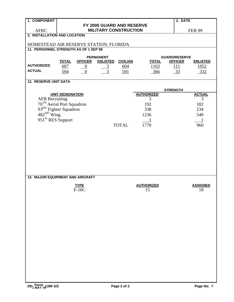| 1. COMPONENT                                                |                                       |                |                           |                   |                   |                 | 2. DATE              |                 |  |
|-------------------------------------------------------------|---------------------------------------|----------------|---------------------------|-------------------|-------------------|-----------------|----------------------|-----------------|--|
|                                                             |                                       |                | FY 2000 GUARD AND RESERVE |                   |                   |                 |                      |                 |  |
| <b>AFRC</b>                                                 | <b>MILITARY CONSTRUCTION</b>          |                |                           |                   |                   |                 |                      | <b>FEB 99</b>   |  |
| 3. INSTALLATION AND LOCATION                                |                                       |                |                           |                   |                   |                 |                      |                 |  |
| HOMESTEAD AIR RESERVE STATION, FLORIDA                      |                                       |                |                           |                   |                   |                 |                      |                 |  |
|                                                             | 11. PERSONNEL STRENGTH AS OF 1 SEP 98 |                |                           |                   |                   |                 |                      |                 |  |
|                                                             |                                       |                | <b>PERMANENT</b>          |                   |                   |                 | <b>GUARD/RESERVE</b> |                 |  |
|                                                             | <b>TOTAL</b>                          | <b>OFFICER</b> | <b>ENLISTED</b>           | <b>CIVILIAN</b>   | <b>TOTAL</b>      |                 | <b>OFFICER</b>       | <b>ENLISTED</b> |  |
| <b>AUTHORIZED</b>                                           | 607                                   | $\overline{0}$ | $\overline{3}$            | $\underline{604}$ | 1163              |                 | 111                  | <u>1052</u>     |  |
| <b>ACTUAL</b>                                               | 594                                   | $\overline{0}$ | 3                         | 591               | 366               |                 | 33                   | 332             |  |
|                                                             |                                       |                |                           |                   |                   |                 |                      |                 |  |
| <b>12. RESERVE UNIT DATA</b>                                |                                       |                |                           |                   |                   |                 |                      |                 |  |
|                                                             |                                       |                |                           |                   |                   |                 |                      |                 |  |
|                                                             | <b>UNIT DESIGNATION</b>               |                |                           |                   | <b>AUTHORIZED</b> | <b>STRENGTH</b> |                      | <b>ACTUAL</b>   |  |
|                                                             |                                       |                |                           |                   | 3                 |                 |                      | 3               |  |
| AFR Recruiting<br>70 <sup>TH</sup> Aerial Port Squadron     |                                       |                |                           |                   | 192               |                 |                      | 182             |  |
|                                                             |                                       |                |                           |                   | 338               |                 |                      | 234             |  |
| 93 <sup>RD</sup> Fighter Squadron<br>482 <sup>ND</sup> Wing |                                       |                |                           |                   | 1236              |                 |                      | 540             |  |
| 951 <sup>St</sup> RES Support                               |                                       |                |                           |                   |                   |                 |                      |                 |  |
|                                                             |                                       |                |                           | <b>TOTAL</b>      | 1770              |                 |                      | 960             |  |
|                                                             |                                       |                |                           |                   |                   |                 |                      |                 |  |
|                                                             |                                       |                |                           |                   |                   |                 |                      |                 |  |
|                                                             |                                       |                |                           |                   |                   |                 |                      |                 |  |
|                                                             |                                       |                |                           |                   |                   |                 |                      |                 |  |
|                                                             |                                       |                |                           |                   |                   |                 |                      |                 |  |
|                                                             |                                       |                |                           |                   |                   |                 |                      |                 |  |
|                                                             |                                       |                |                           |                   |                   |                 |                      |                 |  |
|                                                             |                                       |                |                           |                   |                   |                 |                      |                 |  |
|                                                             |                                       |                |                           |                   |                   |                 |                      |                 |  |
| 13. MAJOR EQUIPMENT AND AIRCRAFT                            |                                       |                |                           |                   |                   |                 |                      |                 |  |
|                                                             |                                       |                |                           |                   |                   |                 |                      |                 |  |
|                                                             |                                       | <b>TYPE</b>    |                           |                   | <b>AUTHORIZED</b> |                 |                      | <b>ASSIGNED</b> |  |
|                                                             |                                       | $F-16C$        |                           |                   | 15                |                 |                      | 18              |  |
|                                                             |                                       |                |                           |                   |                   |                 |                      |                 |  |
|                                                             |                                       |                |                           |                   |                   |                 |                      |                 |  |
|                                                             |                                       |                |                           |                   |                   |                 |                      |                 |  |
|                                                             |                                       |                |                           |                   |                   |                 |                      |                 |  |
|                                                             |                                       |                |                           |                   |                   |                 |                      |                 |  |
|                                                             |                                       |                |                           |                   |                   |                 |                      |                 |  |
|                                                             |                                       |                |                           |                   |                   |                 |                      |                 |  |
|                                                             |                                       |                |                           |                   |                   |                 |                      |                 |  |
|                                                             |                                       |                |                           |                   |                   |                 |                      |                 |  |
|                                                             |                                       |                |                           |                   |                   |                 |                      |                 |  |
|                                                             |                                       |                |                           |                   |                   |                 |                      |                 |  |
|                                                             |                                       |                |                           |                   |                   |                 |                      |                 |  |
|                                                             |                                       |                |                           |                   |                   |                 |                      |                 |  |
|                                                             |                                       |                |                           |                   |                   |                 |                      |                 |  |
|                                                             |                                       |                |                           |                   |                   |                 |                      |                 |  |
|                                                             |                                       |                |                           |                   |                   |                 |                      |                 |  |
|                                                             |                                       |                |                           |                   |                   |                 |                      |                 |  |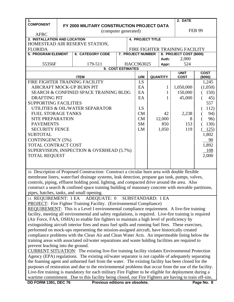| 1.                                |                                                                                                        |                                                                                                         |  |  |                          |  |                 | 2. DATE                        |               |  |
|-----------------------------------|--------------------------------------------------------------------------------------------------------|---------------------------------------------------------------------------------------------------------|--|--|--------------------------|--|-----------------|--------------------------------|---------------|--|
| <b>COMPONENT</b>                  |                                                                                                        | FY 2000 MILITARY CONSTRUCTION PROJECT DATA                                                              |  |  |                          |  |                 |                                |               |  |
|                                   |                                                                                                        | (computer generated)                                                                                    |  |  |                          |  |                 |                                | <b>FEB 99</b> |  |
| <b>AFRC</b>                       |                                                                                                        |                                                                                                         |  |  |                          |  |                 |                                |               |  |
| 3. INSTALLATION AND LOCATION      |                                                                                                        |                                                                                                         |  |  | <b>4. PROJECT TITLE</b>  |  |                 |                                |               |  |
|                                   |                                                                                                        | HOMESTEAD AIR RESERVE STATION,                                                                          |  |  |                          |  |                 |                                |               |  |
| <b>FLORIDA</b>                    |                                                                                                        |                                                                                                         |  |  |                          |  |                 | FIRE FIGHTER TRAINING FACILITY |               |  |
| <b>5. PROGRAM ELEMENT</b>         |                                                                                                        | <b>6. CATEGORY CODE</b>                                                                                 |  |  | <b>7. PROJECT NUMBER</b> |  |                 | 8. PROJECT COST (\$000)        |               |  |
|                                   |                                                                                                        |                                                                                                         |  |  |                          |  | Auth:           | 2,000                          |               |  |
| 55356F                            |                                                                                                        | 179-511                                                                                                 |  |  | HACC963025               |  | Appr:           | 524                            |               |  |
|                                   |                                                                                                        | 9. COST ESTIMATES                                                                                       |  |  |                          |  |                 | <b>UNIT</b>                    | <b>COST</b>   |  |
|                                   |                                                                                                        | <b>ITEM</b>                                                                                             |  |  | U/M                      |  | <b>QUANTITY</b> | <b>COST</b>                    | (\$000)       |  |
|                                   |                                                                                                        | FIRE FIGHTER TRAINING FACILITY                                                                          |  |  | <b>LS</b>                |  |                 |                                | 1,245         |  |
| AIRCRAFT MOCK-UP BURN PIT         |                                                                                                        |                                                                                                         |  |  | EA                       |  | 1               | 1,050,000                      | (1,050)       |  |
|                                   |                                                                                                        | <b>SEARCH &amp; CONFINED SPACE TRAINING BLDG</b>                                                        |  |  | EA                       |  | 1               | 150,000                        | 150)          |  |
| <b>DRAFTING PIT</b>               |                                                                                                        |                                                                                                         |  |  | EA                       |  | 1               | 45,000                         | 45)           |  |
| <b>SUPPORTING FACILITIES</b>      |                                                                                                        |                                                                                                         |  |  |                          |  |                 |                                | 557           |  |
|                                   |                                                                                                        | UTILITIES & OIL/WATER SEPARATOR                                                                         |  |  | LS                       |  |                 |                                | 112)          |  |
| <b>FUEL STORAGE TANKS</b>         |                                                                                                        |                                                                                                         |  |  | <b>CM</b>                |  | 42              | 2,238                          | 94)           |  |
| <b>SITE PREPARATION</b>           |                                                                                                        |                                                                                                         |  |  | <b>CM</b>                |  | 12,000          | 8                              | 96)           |  |
| <b>PAVEMENTS</b>                  |                                                                                                        |                                                                                                         |  |  | <b>SM</b>                |  | 850             | 153                            | 130)          |  |
| <b>SECURITY FENCE</b>             |                                                                                                        |                                                                                                         |  |  | LM                       |  | 1,050           | 119                            | 125)          |  |
| <b>SUBTOTAL</b>                   |                                                                                                        |                                                                                                         |  |  |                          |  |                 |                                | 1,802         |  |
| <b>CONTINGENCY (5%)</b>           |                                                                                                        |                                                                                                         |  |  |                          |  |                 |                                | 90            |  |
| TOTAL CONTRACT COST               |                                                                                                        |                                                                                                         |  |  |                          |  |                 |                                | 1,892         |  |
|                                   |                                                                                                        | SUPERVISION, INSPECTION & OVERHEAD (5.7%)                                                               |  |  |                          |  |                 |                                | 108           |  |
| <b>TOTAL REQUEST</b>              |                                                                                                        |                                                                                                         |  |  |                          |  |                 |                                | 2,000         |  |
|                                   |                                                                                                        |                                                                                                         |  |  |                          |  |                 |                                |               |  |
|                                   |                                                                                                        |                                                                                                         |  |  |                          |  |                 |                                |               |  |
|                                   |                                                                                                        | 10. Description of Proposed Construction: Construct a circular burn area with double flexible           |  |  |                          |  |                 |                                |               |  |
|                                   |                                                                                                        | membrane liners, water/fuel drainage systems, leak detection, propane gas tank, pumps, valves,          |  |  |                          |  |                 |                                |               |  |
|                                   |                                                                                                        | controls, piping, effluent holding pond, lighting, and compacted drive around the area. Also            |  |  |                          |  |                 |                                |               |  |
|                                   |                                                                                                        | construct a search $\&$ confined space training building of masonary concrete with movable partitions,  |  |  |                          |  |                 |                                |               |  |
|                                   |                                                                                                        | pipes, hatches, tanks, and small opening.                                                               |  |  |                          |  |                 |                                |               |  |
|                                   |                                                                                                        | 11. REQUIREMENT: 1 EA ADEQUATE: 0                                                                       |  |  | <b>SUBSTANDARD: 1 EA</b> |  |                 |                                |               |  |
|                                   |                                                                                                        | <b>PROJECT:</b> Fire Fighter Training Facility. (Environmental Compliance)                              |  |  |                          |  |                 |                                |               |  |
|                                   |                                                                                                        | <b>REQUIREMENT:</b> This is a Level I environmental compliance requirement. A live-fire training        |  |  |                          |  |                 |                                |               |  |
|                                   |                                                                                                        | facility, meeting all environmental and safety regulations, is required. Live-fire training is required |  |  |                          |  |                 |                                |               |  |
|                                   |                                                                                                        | (Air Force, FAA, OSHA) to enable fire fighters to maintain a high level of proficiency by               |  |  |                          |  |                 |                                |               |  |
|                                   |                                                                                                        | extinguishing aircraft interior fires and mass fuel spills and running fuel fires. These exercises,     |  |  |                          |  |                 |                                |               |  |
|                                   |                                                                                                        | performed on mock-ups representing the mission-assigned aircraft, have historically created             |  |  |                          |  |                 |                                |               |  |
|                                   |                                                                                                        | compliance problems with the Clean Air and Clean Water Acts. An impermeable lining below the            |  |  |                          |  |                 |                                |               |  |
|                                   |                                                                                                        | training areas with associated oil/water separations and waste holding facilities are required to       |  |  |                          |  |                 |                                |               |  |
| prevent leaching into the ground. |                                                                                                        |                                                                                                         |  |  |                          |  |                 |                                |               |  |
|                                   |                                                                                                        | <b>CURRENT SITUATION:</b> The existing live-fire training facility violates Environmental Protection    |  |  |                          |  |                 |                                |               |  |
|                                   |                                                                                                        | Agency (EPA) regulations. The existing oil/water separator is not capable of adequately separating      |  |  |                          |  |                 |                                |               |  |
|                                   |                                                                                                        | the foaming agent and unburned fuel from the water. The existing facility has been closed for the       |  |  |                          |  |                 |                                |               |  |
|                                   |                                                                                                        | purposes of restoration and due to the environmental problems that occur from the use of the facility.  |  |  |                          |  |                 |                                |               |  |
|                                   |                                                                                                        | Live-fire training is mandatory for each military Fire Fighter to be eligible for deployment during a   |  |  |                          |  |                 |                                |               |  |
|                                   |                                                                                                        |                                                                                                         |  |  |                          |  |                 |                                |               |  |
|                                   | wartime commitment. Due to this facility being closed, our Fire Fighters are having to train off-site, |                                                                                                         |  |  |                          |  |                 |                                |               |  |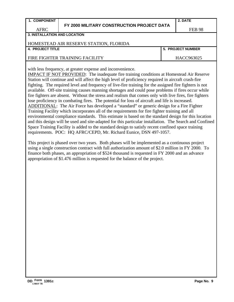#### **1. COMPONENT**

AFRC

#### **FY 2000 MILITARY CONSTRUCTION PROJECT DATA**

### **2. DATE**

**3. INSTALLATION AND LOCATION**

#### HOMESTEAD AIR RESERVE STATION, FLORIDA

#### **4. PROJECT TITLE 5. PROJECT NUMBER**

#### FIRE FIGHTER TRAINING FACILITY **HACC963025**

with less frequency, at greater expense and inconvenience.

IMPACT IF NOT PROVIDED: The inadequate fire training conditions at Homestead Air Reserve Station will continue and will affect the high level of proficiency required in aircraft crash-fire fighting. The required level and frequency of live-fire training for the assigned fire fighters is not available. Off-site training causes manning shortages and could pose problems if fires occur while fire fighters are absent. Without the stress and realism that comes only with live fires, fire fighters lose proficiency in combating fires. The potential for loss of aircraft and life is increased. ADDITIONAL: The Air Force has developed a "standard" or generic design for a Fire Fighter Training Facility which incorporates all of the requirements for fire fighter training and all environmental compliance standards. This estimate is based on the standard design for this location and this design will be used and site-adapted for this particular installation. The Search and Confined Space Training Facility is added to the standard design to satisfy recent confined space training requirements. POC: HQ AFRC/CEPD, Mr. Richard Eunice, DSN 497-1057.

This project is phased over two years. Both phases will be implemented as a continuous project using a single construction contract with full authorization amount of \$2.0 million in FY 2000. To finance both phases, an appropriation of \$524 thousand is requested in FY 2000 and an advance appropriation of \$1.476 million is requested for the balance of the project.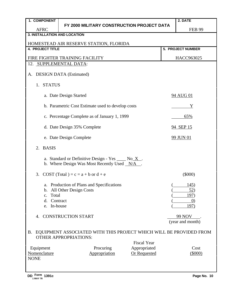| 1. COMPONENT                                        |                                                                                                       |  | 2. DATE                           |  |  |  |  |  |  |
|-----------------------------------------------------|-------------------------------------------------------------------------------------------------------|--|-----------------------------------|--|--|--|--|--|--|
|                                                     | FY 2000 MILITARY CONSTRUCTION PROJECT DATA                                                            |  |                                   |  |  |  |  |  |  |
| <b>AFRC</b><br><b>3. INSTALLATION AND LOCATION</b>  |                                                                                                       |  | <b>FEB 99</b>                     |  |  |  |  |  |  |
|                                                     |                                                                                                       |  |                                   |  |  |  |  |  |  |
|                                                     | HOMESTEAD AIR RESERVE STATION, FLORIDA                                                                |  |                                   |  |  |  |  |  |  |
| <b>4. PROJECT TITLE</b><br><b>5. PROJECT NUMBER</b> |                                                                                                       |  |                                   |  |  |  |  |  |  |
|                                                     | FIRE FIGHTER TRAINING FACILITY                                                                        |  | HACC963025                        |  |  |  |  |  |  |
| 12. SUPPLEMENTAL DATA:                              |                                                                                                       |  |                                   |  |  |  |  |  |  |
| A.                                                  | <b>DESIGN DATA (Estimated)</b>                                                                        |  |                                   |  |  |  |  |  |  |
| 1. STATUS                                           |                                                                                                       |  |                                   |  |  |  |  |  |  |
|                                                     | a. Date Design Started                                                                                |  | 94 AUG 01                         |  |  |  |  |  |  |
|                                                     | b. Parametric Cost Estimate used to develop costs                                                     |  | Y                                 |  |  |  |  |  |  |
|                                                     | c. Percentage Complete as of January 1, 1999                                                          |  | 65%                               |  |  |  |  |  |  |
|                                                     | d. Date Design 35% Complete                                                                           |  | 94 SEP 15                         |  |  |  |  |  |  |
|                                                     | e. Date Design Complete                                                                               |  | <b>99 JUN 01</b>                  |  |  |  |  |  |  |
| <b>BASIS</b><br>2.                                  |                                                                                                       |  |                                   |  |  |  |  |  |  |
|                                                     | a. Standard or Definitive Design - Yes $\_\_\_\$ No X.<br>b. Where Design Was Most Recently Used N/A. |  |                                   |  |  |  |  |  |  |
|                                                     | 3. COST (Total) = $c = a + b$ or $d + e$                                                              |  | $(\$000)$                         |  |  |  |  |  |  |
|                                                     | a. Production of Plans and Specifications                                                             |  | 145)                              |  |  |  |  |  |  |
|                                                     | b. All Other Design Costs                                                                             |  | <u>52</u> )                       |  |  |  |  |  |  |
| Total<br>$C_{\bullet}$                              |                                                                                                       |  | 197)                              |  |  |  |  |  |  |
| d.                                                  | Contract                                                                                              |  | $\left( 0\right)$                 |  |  |  |  |  |  |
| In-house<br>e.                                      |                                                                                                       |  | 197)                              |  |  |  |  |  |  |
| 4.                                                  | <b>CONSTRUCTION START</b>                                                                             |  | <b>99 NOV</b><br>(year and month) |  |  |  |  |  |  |
| <b>B.</b>                                           | EQUIPMENT ASSOCIATED WITH THIS PROJECT WHICH WILL BE PROVIDED FROM<br><b>OTHER APPROPRIATIONS:</b>    |  |                                   |  |  |  |  |  |  |
|                                                     | <b>Fiscal Year</b>                                                                                    |  |                                   |  |  |  |  |  |  |
| Equipment                                           | Appropriated<br>Procuring                                                                             |  | Cost                              |  |  |  |  |  |  |
| Nomenclature                                        | <b>Or Requested</b><br>Appropriation                                                                  |  | $(\$000)$                         |  |  |  |  |  |  |
| <b>NONE</b>                                         |                                                                                                       |  |                                   |  |  |  |  |  |  |
|                                                     |                                                                                                       |  |                                   |  |  |  |  |  |  |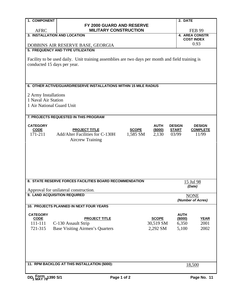| 1. COMPONENT                |                                                                                                  |                  | 2. DATE                          |                          |
|-----------------------------|--------------------------------------------------------------------------------------------------|------------------|----------------------------------|--------------------------|
|                             | FY 2000 GUARD AND RESERVE                                                                        |                  |                                  |                          |
| <b>AFRC</b>                 | <b>MILITARY CONSTRUCTION</b>                                                                     |                  |                                  | <b>FEB 99</b>            |
|                             | 3. INSTALLATION AND LOCATION                                                                     |                  | <b>4. AREA CONSTR</b>            |                          |
|                             |                                                                                                  |                  | <b>COST INDEX</b>                |                          |
|                             | DOBBINS AIR RESERVE BASE, GEORGIA                                                                |                  |                                  | 0.93                     |
|                             | 5. FREQUENCY AND TYPE UTILIZATION                                                                |                  |                                  |                          |
|                             |                                                                                                  |                  |                                  |                          |
|                             | Facility to be used daily. Unit training assemblies are two days per month and field training is |                  |                                  |                          |
| conducted 15 days per year. |                                                                                                  |                  |                                  |                          |
|                             |                                                                                                  |                  |                                  |                          |
|                             |                                                                                                  |                  |                                  |                          |
|                             |                                                                                                  |                  |                                  |                          |
|                             | 6. OTHER ACTIVE/GUARD/RESERVE INSTALLATIONS WITHIN 15 MILE RADIUS                                |                  |                                  |                          |
|                             |                                                                                                  |                  |                                  |                          |
| 2 Army Installations        |                                                                                                  |                  |                                  |                          |
| 1 Naval Air Station         |                                                                                                  |                  |                                  |                          |
| 1 Air National Guard Unit   |                                                                                                  |                  |                                  |                          |
|                             |                                                                                                  |                  |                                  |                          |
|                             | 7. PROJECTS REQUESTED IN THIS PROGRAM                                                            |                  |                                  |                          |
|                             |                                                                                                  |                  |                                  |                          |
| <b>CATEGORY</b>             |                                                                                                  | <b>AUTH</b>      | <b>DESIGN</b>                    | <b>DESIGN</b>            |
| <b>CODE</b><br>171-211      | <b>PROJECT TITLE</b><br><b>SCOPE</b><br>Add/Alter Facilities for C-130H<br>1,585 SM              | (\$000)<br>2,130 | <b>START</b><br>03/99            | <b>COMPLETE</b><br>11/99 |
|                             |                                                                                                  |                  |                                  |                          |
|                             | <b>Aircrew Training</b>                                                                          |                  |                                  |                          |
|                             |                                                                                                  |                  |                                  |                          |
|                             |                                                                                                  |                  |                                  |                          |
|                             |                                                                                                  |                  |                                  |                          |
|                             |                                                                                                  |                  |                                  |                          |
|                             |                                                                                                  |                  |                                  |                          |
|                             |                                                                                                  |                  |                                  |                          |
|                             |                                                                                                  |                  |                                  |                          |
|                             | 8. STATE RESERVE FORCES FACILITIES BOARD RECOMMENDATION                                          |                  | 15 Jul 98                        |                          |
|                             |                                                                                                  |                  | (Date)                           |                          |
|                             | Approval for unilateral construction.<br>9. LAND ACQUISITION REQUIRED                            |                  |                                  |                          |
|                             |                                                                                                  |                  | <b>NONE</b><br>(Number of Acres) |                          |
|                             |                                                                                                  |                  |                                  |                          |
|                             | 10. PROJECTS PLANNED IN NEXT FOUR YEARS                                                          |                  |                                  |                          |
| <b>CATEGORY</b>             |                                                                                                  |                  | <b>AUTH</b>                      |                          |
| <b>CODE</b>                 | <b>PROJECT TITLE</b>                                                                             | <b>SCOPE</b>     | (\$000)                          | <b>YEAR</b>              |
| 111-111                     | C-130 Assault Strip                                                                              | 30,519 SM        | 6,350                            | 2001                     |
| 721-315                     | Base Visiting Airmen's Quarters                                                                  | 2,292 SM         | 5,100                            | 2002                     |
|                             |                                                                                                  |                  |                                  |                          |
|                             |                                                                                                  |                  |                                  |                          |
|                             |                                                                                                  |                  |                                  |                          |
|                             |                                                                                                  |                  |                                  |                          |
|                             |                                                                                                  |                  |                                  |                          |
|                             |                                                                                                  |                  |                                  |                          |
|                             | 11. RPM BACKLOG AT THIS INSTALLATION (\$000):                                                    |                  | 18,500                           |                          |
|                             |                                                                                                  |                  |                                  |                          |
|                             |                                                                                                  |                  |                                  |                          |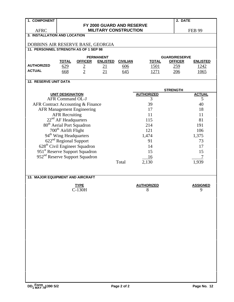| 1. COMPONENT                               |                                       |                                           |                                     |                 |                   |                                        | 2. DATE         |  |  |  |
|--------------------------------------------|---------------------------------------|-------------------------------------------|-------------------------------------|-----------------|-------------------|----------------------------------------|-----------------|--|--|--|
|                                            |                                       |                                           | FY 2000 GUARD AND RESERVE           |                 |                   |                                        |                 |  |  |  |
| <b>AFRC</b>                                |                                       |                                           | <b>MILITARY CONSTRUCTION</b>        |                 |                   |                                        | <b>FEB 99</b>   |  |  |  |
| 3. INSTALLATION AND LOCATION               |                                       |                                           |                                     |                 |                   |                                        |                 |  |  |  |
| DOBBINS AIR RESERVE BASE, GEORGIA          |                                       |                                           |                                     |                 |                   |                                        |                 |  |  |  |
| 11. PERSONNEL STRENGTH AS OF 1 SEP 98      |                                       |                                           |                                     |                 |                   |                                        |                 |  |  |  |
|                                            |                                       |                                           |                                     |                 |                   |                                        |                 |  |  |  |
|                                            | <b>TOTAL</b>                          | <b>OFFICER</b>                            | <b>PERMANENT</b><br><b>ENLISTED</b> | <b>CIVILIAN</b> | <b>TOTAL</b>      | <b>GUARD/RESERVE</b><br><b>OFFICER</b> | <b>ENLISTED</b> |  |  |  |
| <b>AUTHORIZED</b>                          | 629                                   |                                           | 21                                  | 606             | <u>1501</u>       | 259                                    | 1242            |  |  |  |
| <b>ACTUAL</b>                              | 668                                   | $\frac{2}{2}$                             | 21                                  | 645             | <u>1271</u>       | 206                                    | 1065            |  |  |  |
|                                            |                                       |                                           |                                     |                 |                   |                                        |                 |  |  |  |
| <b>12. RESERVE UNIT DATA</b>               |                                       |                                           |                                     |                 |                   |                                        |                 |  |  |  |
|                                            |                                       |                                           |                                     |                 |                   |                                        |                 |  |  |  |
|                                            |                                       |                                           |                                     |                 |                   | <b>STRENGTH</b>                        |                 |  |  |  |
|                                            | <b>UNIT DESIGNATION</b>               |                                           |                                     |                 | <b>AUTHORIZED</b> |                                        | <b>ACTUAL</b>   |  |  |  |
|                                            | <b>AFR Command OL-J</b>               |                                           |                                     |                 | 3                 |                                        | 5               |  |  |  |
| AFR Contract Accounting & Finance          |                                       |                                           |                                     |                 | 39                |                                        | 40              |  |  |  |
|                                            |                                       | <b>AFR Management Engineering</b>         |                                     |                 | 17                |                                        | 18              |  |  |  |
|                                            | <b>AFR Recruiting</b>                 |                                           |                                     |                 | 11                |                                        | 11              |  |  |  |
|                                            | 22 <sup>nd</sup> AF Headquarters      |                                           |                                     |                 | 115               |                                        | 81              |  |  |  |
|                                            | 80 <sup>th</sup> Aerial Port Squadron |                                           |                                     |                 | 214               |                                        | 191             |  |  |  |
|                                            | 700 <sup>th</sup> Airlift Flight      |                                           |                                     |                 | 121               |                                        | 106             |  |  |  |
|                                            | 94 <sup>th</sup> Wing Headquarters    |                                           |                                     |                 | 1,474             |                                        | 1,375           |  |  |  |
|                                            | 622 <sup>nd</sup> Regional Support    |                                           |                                     |                 | 91                |                                        | 73              |  |  |  |
|                                            |                                       | 628 <sup>th</sup> Civil Engineer Squadron |                                     |                 | 14                |                                        | 17              |  |  |  |
| 951 <sup>st</sup> Reserve Support Squadron |                                       |                                           |                                     |                 | 15                |                                        | 15              |  |  |  |
|                                            |                                       |                                           |                                     |                 |                   |                                        | 7               |  |  |  |
| 952 <sup>nd</sup> Reserve Support Squadron |                                       |                                           |                                     |                 | 16                |                                        |                 |  |  |  |
|                                            |                                       |                                           |                                     | Total           | 2,130             |                                        | 1,939           |  |  |  |
|                                            |                                       |                                           |                                     |                 |                   |                                        |                 |  |  |  |
| 13. MAJOR EQUIPMENT AND AIRCRAFT           |                                       |                                           |                                     |                 |                   |                                        |                 |  |  |  |
|                                            |                                       |                                           |                                     |                 |                   |                                        |                 |  |  |  |
|                                            |                                       | <b>TYPE</b>                               |                                     |                 | <b>AUTHORIZED</b> |                                        | <b>ASSIGNED</b> |  |  |  |
|                                            |                                       | C-130H                                    |                                     |                 | 8                 |                                        | 9               |  |  |  |
|                                            |                                       |                                           |                                     |                 |                   |                                        |                 |  |  |  |
|                                            |                                       |                                           |                                     |                 |                   |                                        |                 |  |  |  |
|                                            |                                       |                                           |                                     |                 |                   |                                        |                 |  |  |  |
|                                            |                                       |                                           |                                     |                 |                   |                                        |                 |  |  |  |
|                                            |                                       |                                           |                                     |                 |                   |                                        |                 |  |  |  |
|                                            |                                       |                                           |                                     |                 |                   |                                        |                 |  |  |  |
|                                            |                                       |                                           |                                     |                 |                   |                                        |                 |  |  |  |
|                                            |                                       |                                           |                                     |                 |                   |                                        |                 |  |  |  |
|                                            |                                       |                                           |                                     |                 |                   |                                        |                 |  |  |  |
|                                            |                                       |                                           |                                     |                 |                   |                                        |                 |  |  |  |
|                                            |                                       |                                           |                                     |                 |                   |                                        |                 |  |  |  |
|                                            |                                       |                                           |                                     |                 |                   |                                        |                 |  |  |  |
|                                            |                                       |                                           |                                     |                 |                   |                                        |                 |  |  |  |
|                                            |                                       |                                           |                                     |                 |                   |                                        |                 |  |  |  |
|                                            |                                       |                                           |                                     |                 |                   |                                        |                 |  |  |  |
|                                            |                                       |                                           |                                     |                 |                   |                                        |                 |  |  |  |
|                                            |                                       |                                           |                                     |                 |                   |                                        |                 |  |  |  |
|                                            |                                       |                                           |                                     |                 |                   |                                        |                 |  |  |  |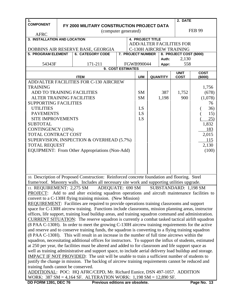| 1.                                  |                                            |                                                                                                          |  |  |                         |  |                 | 2. DATE                         |               |
|-------------------------------------|--------------------------------------------|----------------------------------------------------------------------------------------------------------|--|--|-------------------------|--|-----------------|---------------------------------|---------------|
| <b>COMPONENT</b>                    | FY 2000 MILITARY CONSTRUCTION PROJECT DATA |                                                                                                          |  |  |                         |  |                 |                                 |               |
|                                     |                                            | (computer generated)                                                                                     |  |  |                         |  |                 |                                 | <b>FEB 99</b> |
| <b>AFRC</b>                         |                                            |                                                                                                          |  |  |                         |  |                 |                                 |               |
| 3. INSTALLATION AND LOCATION        |                                            |                                                                                                          |  |  | <b>4. PROJECT TITLE</b> |  |                 |                                 |               |
|                                     |                                            |                                                                                                          |  |  |                         |  |                 | <b>ADD/ALTER FACILITIES FOR</b> |               |
|                                     |                                            | DOBBINS AIR RESERVE BASE, GEORGIA                                                                        |  |  |                         |  |                 | C-130H AIRCREW TRAINING         |               |
| <b>5. PROGRAM ELEMENT</b>           |                                            | <b>6. CATEGORY CODE</b>                                                                                  |  |  | 7. PROJECT NUMBER       |  |                 | 8. PROJECT COST (\$000)         |               |
| 54343F                              |                                            | 171-211                                                                                                  |  |  |                         |  | Auth:           | 2,130<br>558                    |               |
|                                     | FGWB990044<br>Appr:<br>9. COST ESTIMATES   |                                                                                                          |  |  |                         |  |                 |                                 |               |
|                                     |                                            |                                                                                                          |  |  |                         |  |                 | <b>UNIT</b>                     | <b>COST</b>   |
|                                     |                                            | <b>ITEM</b>                                                                                              |  |  | U/M                     |  | <b>QUANTITY</b> | <b>COST</b>                     | (\$000)       |
|                                     |                                            | ADD/ALTER FACILITIES FOR C-130 AIRCREW                                                                   |  |  |                         |  |                 |                                 |               |
| <b>TRAINING</b>                     |                                            |                                                                                                          |  |  |                         |  |                 |                                 | 1,756         |
| ADD TO TRAINING FACILITIES          |                                            |                                                                                                          |  |  | <b>SM</b>               |  | 387             | 1,752                           | (678)         |
| <b>ALTER TRAINING FACILITIES</b>    |                                            |                                                                                                          |  |  | <b>SM</b>               |  | 1,198           | 900                             | (1,078)       |
| <b>SUPPORTING FACILITIES</b>        |                                            |                                                                                                          |  |  |                         |  |                 |                                 | 76            |
| <b>UTILITIES</b>                    |                                            |                                                                                                          |  |  | LS                      |  |                 |                                 | 36)           |
| <b>PAVEMENTS</b>                    |                                            |                                                                                                          |  |  | LS                      |  |                 |                                 | 15)           |
| <b>SITE IMPROVEMENTS</b>            |                                            |                                                                                                          |  |  | LS                      |  |                 |                                 | 25)           |
| <b>SUBTOTAL</b>                     |                                            |                                                                                                          |  |  |                         |  |                 |                                 | 1,832         |
| <b>CONTINGENCY (10%)</b>            |                                            |                                                                                                          |  |  |                         |  |                 |                                 | 183           |
| TOTAL CONTRACT COST                 |                                            |                                                                                                          |  |  |                         |  |                 |                                 | 2,015         |
|                                     |                                            | SUPERVISION, INSPECTION & OVERHEAD (5.7%)                                                                |  |  |                         |  |                 |                                 | 115           |
| <b>TOTAL REQUEST</b>                |                                            |                                                                                                          |  |  |                         |  |                 |                                 | 2,130         |
|                                     |                                            | EQUIPMENT: From Other Appropriations (Non-Add)                                                           |  |  |                         |  |                 |                                 | (100)         |
|                                     |                                            |                                                                                                          |  |  |                         |  |                 |                                 |               |
|                                     |                                            |                                                                                                          |  |  |                         |  |                 |                                 |               |
|                                     |                                            |                                                                                                          |  |  |                         |  |                 |                                 |               |
|                                     |                                            |                                                                                                          |  |  |                         |  |                 |                                 |               |
|                                     |                                            | 10. Description of Proposed Construction: Reinforced concrete foundation and flooring. Steel             |  |  |                         |  |                 |                                 |               |
|                                     |                                            | frame/roof. Masonry walls. Includes all necessary site work and supporting utilities upgrade.            |  |  |                         |  |                 |                                 |               |
|                                     |                                            | 11. REQUIREMENT: 2,275 SM ADEQUATE: 690 SM SUBSTANDARD: 1,198 SM                                         |  |  |                         |  |                 |                                 |               |
|                                     |                                            | PROJECT: Add to and alter existing squadron operations and aircraft maintenance facilities to            |  |  |                         |  |                 |                                 |               |
|                                     |                                            | convert to a C-130H flying training mission. (New Mission)                                               |  |  |                         |  |                 |                                 |               |
|                                     |                                            | <b>REQUIREMENT:</b> Facilities are required to provide operations training classrooms and support        |  |  |                         |  |                 |                                 |               |
|                                     |                                            | space for C-130H aircrew training. Functions include classrooms, mission planning areas, instructor      |  |  |                         |  |                 |                                 |               |
|                                     |                                            | offices, life support, training load buildup areas, and training squadron command and administration.    |  |  |                         |  |                 |                                 |               |
|                                     |                                            | <b>CURRENT SITUATION:</b> The reserve squadron is currently a combat tasked tactical airlift squadron    |  |  |                         |  |                 |                                 |               |
|                                     |                                            | (8 PAA C-130H). In order to meet the growing C-130H aircrew training requirements for the active         |  |  |                         |  |                 |                                 |               |
|                                     |                                            | and reserve and to conserve training funds, the squadron is converting to a flying training squadron     |  |  |                         |  |                 |                                 |               |
|                                     |                                            | (8 PAA C-130H). This will result in an increase in the number of full time aircrews within the           |  |  |                         |  |                 |                                 |               |
|                                     |                                            | squadron, necessitating additional offices for instructors. To support the influx of students, estimated |  |  |                         |  |                 |                                 |               |
|                                     |                                            | at 250 per year, the facilities must be altered and added to for classroom and life support space as     |  |  |                         |  |                 |                                 |               |
|                                     |                                            | well as training administrative and support space, to include aerial delivery load buildup and storage.  |  |  |                         |  |                 |                                 |               |
|                                     |                                            | <b>IMPACT IF NOT PROVIDED:</b> The unit will be unable to train a sufficient number of students to       |  |  |                         |  |                 |                                 |               |
|                                     |                                            | justify the change in mission. The backlog of aircrew training requirements cannot be reduced and        |  |  |                         |  |                 |                                 |               |
| training funds cannot be conserved. |                                            |                                                                                                          |  |  |                         |  |                 |                                 |               |
|                                     |                                            | ADDITIONAL: POC: HQ AFRC/CEPD, Mr. Richard Eunice, DSN 497-1057. ADDITION                                |  |  |                         |  |                 |                                 |               |
|                                     |                                            | WORK: $387 \text{ SM} = 4,164 \text{ SF. ALTERATION WORK: } 1,198 \text{ SM} = 12,890 \text{ SF.}$       |  |  |                         |  |                 |                                 |               |
| <b>DD FORM 1391, DEC 76</b>         |                                            | Previous editions are obsolete.                                                                          |  |  |                         |  |                 |                                 | Page No. 13   |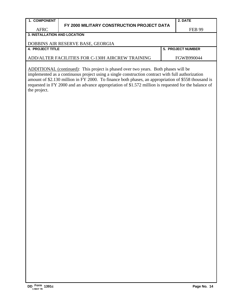#### **FY 2000 MILITARY CONSTRUCTION PROJECT DATA**

**2. DATE**

**5. PROJECT NUMBER** 

**3. INSTALLATION AND LOCATION**

### DOBBINS AIR RESERVE BASE, GEORGIA

ADD/ALTER FACILITIES FOR C-130H AIRCREW TRAINING FGWB990044

ADDITIONAL (continued): This project is phased over two years. Both phases will be implemented as a continuous project using a single construction contract with full authorization amount of \$2.130 million in FY 2000. To finance both phases, an appropriation of \$558 thousand is requested in FY 2000 and an advance appropriation of \$1.572 million is requested for the balance of the project.

#### **1. COMPONENT**

AFRC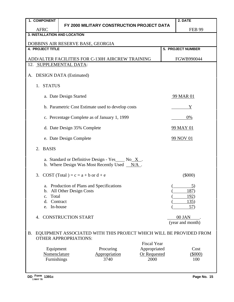| 1. COMPONENT                        |                                                                                                |                                                                                                       |                     | 2. DATE                                                            |  |  |  |  |
|-------------------------------------|------------------------------------------------------------------------------------------------|-------------------------------------------------------------------------------------------------------|---------------------|--------------------------------------------------------------------|--|--|--|--|
| <b>AFRC</b>                         |                                                                                                | FY 2000 MILITARY CONSTRUCTION PROJECT DATA                                                            |                     | <b>FEB 99</b>                                                      |  |  |  |  |
| <b>3. INSTALLATION AND LOCATION</b> |                                                                                                |                                                                                                       |                     |                                                                    |  |  |  |  |
|                                     | DOBBINS AIR RESERVE BASE, GEORGIA                                                              |                                                                                                       |                     |                                                                    |  |  |  |  |
| <b>4. PROJECT TITLE</b>             |                                                                                                |                                                                                                       |                     | 5. PROJECT NUMBER                                                  |  |  |  |  |
|                                     |                                                                                                | ADD/ALTER FACILITIES FOR C-130H AIRCREW TRAINING                                                      |                     | FGWB990044                                                         |  |  |  |  |
|                                     | 12. SUPPLEMENTAL DATA:                                                                         |                                                                                                       |                     |                                                                    |  |  |  |  |
| А.                                  | <b>DESIGN DATA (Estimated)</b>                                                                 |                                                                                                       |                     |                                                                    |  |  |  |  |
| <b>STATUS</b><br>1.                 |                                                                                                |                                                                                                       |                     |                                                                    |  |  |  |  |
|                                     | a. Date Design Started<br>99 MAR 01                                                            |                                                                                                       |                     |                                                                    |  |  |  |  |
|                                     |                                                                                                | b. Parametric Cost Estimate used to develop costs                                                     |                     | Y                                                                  |  |  |  |  |
|                                     |                                                                                                | c. Percentage Complete as of January 1, 1999                                                          |                     | 0%                                                                 |  |  |  |  |
|                                     | d. Date Design 35% Complete<br>99 MAY 01                                                       |                                                                                                       |                     |                                                                    |  |  |  |  |
|                                     | e. Date Design Complete                                                                        |                                                                                                       |                     | 99 NOV 01                                                          |  |  |  |  |
| <b>BASIS</b><br>2.                  |                                                                                                |                                                                                                       |                     |                                                                    |  |  |  |  |
|                                     |                                                                                                | a. Standard or Definitive Design - Yes $\_\_$ No X.<br>b. Where Design Was Most Recently Used $N/A$ . |                     |                                                                    |  |  |  |  |
| 3.                                  | COST (Total) = $c = a + b$ or $d + e$                                                          |                                                                                                       |                     | $(\$000)$                                                          |  |  |  |  |
| Total<br>$\mathbf{c}$ .<br>d.<br>e. | a. Production of Plans and Specifications<br>b. All Other Design Costs<br>Contract<br>In-house |                                                                                                       |                     | <u>5</u> )<br>187)<br>192)<br>135)<br>57)                          |  |  |  |  |
| 4.                                  | <b>CONSTRUCTION START</b>                                                                      |                                                                                                       |                     | 00 JAN<br>(year and month)                                         |  |  |  |  |
| <b>B.</b>                           | <b>OTHER APPROPRIATIONS:</b>                                                                   |                                                                                                       | <b>Fiscal Year</b>  | EQUIPMENT ASSOCIATED WITH THIS PROJECT WHICH WILL BE PROVIDED FROM |  |  |  |  |
| Equipment                           |                                                                                                | Procuring                                                                                             | Appropriated        | Cost                                                               |  |  |  |  |
| Nomenclature                        |                                                                                                | Appropriation                                                                                         | <b>Or Requested</b> | (5000)                                                             |  |  |  |  |
| Furnishings                         |                                                                                                | 3740                                                                                                  | 2000                | 100                                                                |  |  |  |  |
|                                     |                                                                                                |                                                                                                       |                     |                                                                    |  |  |  |  |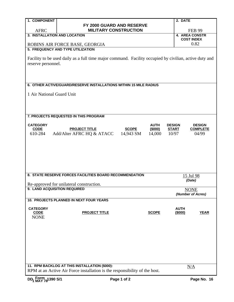| 1. COMPONENT                 |                                                                                                        |               | 2. DATE     |                                     |
|------------------------------|--------------------------------------------------------------------------------------------------------|---------------|-------------|-------------------------------------|
|                              | FY 2000 GUARD AND RESERVE                                                                              |               |             |                                     |
| <b>AFRC</b>                  | <b>MILITARY CONSTRUCTION</b>                                                                           |               |             | <b>FEB 99</b>                       |
| 3. INSTALLATION AND LOCATION |                                                                                                        |               |             | 4. AREA CONSTR<br><b>COST INDEX</b> |
|                              | ROBINS AIR FORCE BASE, GEORGIA                                                                         |               |             | 0.82                                |
|                              | 5. FREQUENCY AND TYPE UTILIZATION                                                                      |               |             |                                     |
|                              |                                                                                                        |               |             |                                     |
|                              | Facility to be used daily as a full time major command. Facility occupied by civilian, active duty and |               |             |                                     |
| reserve personnel.           |                                                                                                        |               |             |                                     |
|                              |                                                                                                        |               |             |                                     |
|                              |                                                                                                        |               |             |                                     |
|                              | 6. OTHER ACTIVE/GUARD/RESERVE INSTALLATIONS WITHIN 15 MILE RADIUS                                      |               |             |                                     |
|                              |                                                                                                        |               |             |                                     |
| 1 Air National Guard Unit    |                                                                                                        |               |             |                                     |
|                              |                                                                                                        |               |             |                                     |
|                              |                                                                                                        |               |             |                                     |
|                              |                                                                                                        |               |             |                                     |
|                              | 7. PROJECTS REQUESTED IN THIS PROGRAM                                                                  |               |             |                                     |
| <b>CATEGORY</b>              | <b>AUTH</b>                                                                                            | <b>DESIGN</b> |             | <b>DESIGN</b>                       |
| <b>CODE</b>                  | <b>PROJECT TITLE</b><br><b>SCOPE</b><br>(\$000)                                                        | <b>START</b>  |             | <b>COMPLETE</b>                     |
| 610-284                      | Add/Alter AFRC HQ & ATACC<br>14,943 SM<br>14,000                                                       | 10/97         |             | 04/99                               |
|                              |                                                                                                        |               |             |                                     |
|                              |                                                                                                        |               |             |                                     |
|                              |                                                                                                        |               |             |                                     |
|                              |                                                                                                        |               |             |                                     |
|                              |                                                                                                        |               |             |                                     |
|                              |                                                                                                        |               |             |                                     |
|                              | 8. STATE RESERVE FORCES FACILITIES BOARD RECOMMENDATION                                                |               |             | 15 Jul 98                           |
|                              |                                                                                                        |               |             | (Date)                              |
| 9. LAND ACQUISITION REQUIRED | Re-approved for unilateral construction.                                                               |               |             |                                     |
|                              |                                                                                                        |               |             | <b>NONE</b><br>(Number of Acres)    |
|                              | 10. PROJECTS PLANNED IN NEXT FOUR YEARS                                                                |               |             |                                     |
|                              |                                                                                                        |               |             |                                     |
| <b>CATEGORY</b>              |                                                                                                        |               | <b>AUTH</b> |                                     |
| <b>CODE</b><br><b>NONE</b>   | <b>PROJECT TITLE</b><br><b>SCOPE</b>                                                                   |               | (\$000)     | <b>YEAR</b>                         |
|                              |                                                                                                        |               |             |                                     |
|                              |                                                                                                        |               |             |                                     |
|                              |                                                                                                        |               |             |                                     |
|                              |                                                                                                        |               |             |                                     |
|                              |                                                                                                        |               |             |                                     |
|                              |                                                                                                        |               |             |                                     |
|                              |                                                                                                        |               |             |                                     |
|                              |                                                                                                        |               |             |                                     |
|                              | 11. RPM BACKLOG AT THIS INSTALLATION (\$000):                                                          |               |             | N/A                                 |
|                              | RPM at an Active Air Force installation is the responsibility of the host.                             |               |             |                                     |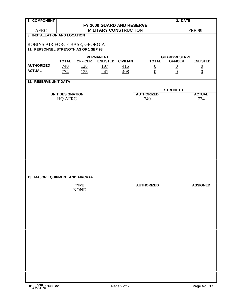| 1. COMPONENT                             |                         | 2. DATE                   |                              |                 |                   |                 |                 |  |  |
|------------------------------------------|-------------------------|---------------------------|------------------------------|-----------------|-------------------|-----------------|-----------------|--|--|
|                                          |                         | FY 2000 GUARD AND RESERVE |                              |                 |                   |                 |                 |  |  |
| <b>AFRC</b>                              |                         |                           | <b>MILITARY CONSTRUCTION</b> |                 |                   |                 | <b>FEB 99</b>   |  |  |
| 3. INSTALLATION AND LOCATION             |                         |                           |                              |                 |                   |                 |                 |  |  |
| ROBINS AIR FORCE BASE, GEORGIA           |                         |                           |                              |                 |                   |                 |                 |  |  |
| 11. PERSONNEL STRENGTH AS OF 1 SEP 98    |                         |                           |                              |                 |                   |                 |                 |  |  |
| <b>PERMANENT</b><br><b>GUARD/RESERVE</b> |                         |                           |                              |                 |                   |                 |                 |  |  |
|                                          | <b>TOTAL</b>            | <b>OFFICER</b>            | <b>ENLISTED</b>              | <b>CIVILIAN</b> | <b>TOTAL</b>      | <b>OFFICER</b>  | <b>ENLISTED</b> |  |  |
| <b>AUTHORIZED</b>                        | 740                     | <u>128</u>                | <u>197</u>                   | 415             |                   |                 |                 |  |  |
| <b>ACTUAL</b>                            | 774                     | 125                       | 241                          | 408             | $\frac{0}{0}$     | $\frac{0}{0}$   | $\frac{0}{0}$   |  |  |
|                                          |                         |                           |                              |                 |                   |                 |                 |  |  |
| <b>12. RESERVE UNIT DATA</b>             |                         |                           |                              |                 |                   |                 |                 |  |  |
|                                          |                         |                           |                              |                 |                   | <b>STRENGTH</b> |                 |  |  |
|                                          | <b>UNIT DESIGNATION</b> |                           |                              |                 | <b>AUTHORIZED</b> |                 | <b>ACTUAL</b>   |  |  |
|                                          | <b>HQ AFRC</b>          |                           |                              |                 | 740               |                 | 774             |  |  |
|                                          |                         |                           |                              |                 |                   |                 |                 |  |  |
|                                          |                         |                           |                              |                 |                   |                 |                 |  |  |
|                                          |                         |                           |                              |                 |                   |                 |                 |  |  |
|                                          |                         |                           |                              |                 |                   |                 |                 |  |  |
|                                          |                         |                           |                              |                 |                   |                 |                 |  |  |
|                                          |                         |                           |                              |                 |                   |                 |                 |  |  |
|                                          |                         |                           |                              |                 |                   |                 |                 |  |  |
|                                          |                         |                           |                              |                 |                   |                 |                 |  |  |
|                                          |                         |                           |                              |                 |                   |                 |                 |  |  |
|                                          |                         |                           |                              |                 |                   |                 |                 |  |  |
|                                          |                         |                           |                              |                 |                   |                 |                 |  |  |
|                                          |                         |                           |                              |                 |                   |                 |                 |  |  |
|                                          |                         |                           |                              |                 |                   |                 |                 |  |  |
| 13. MAJOR EQUIPMENT AND AIRCRAFT         |                         |                           |                              |                 |                   |                 |                 |  |  |
|                                          |                         | <b>TYPE</b>               |                              |                 | <b>AUTHORIZED</b> |                 | <b>ASSIGNED</b> |  |  |
|                                          |                         | <b>NONE</b>               |                              |                 |                   |                 |                 |  |  |
|                                          |                         |                           |                              |                 |                   |                 |                 |  |  |
|                                          |                         |                           |                              |                 |                   |                 |                 |  |  |
|                                          |                         |                           |                              |                 |                   |                 |                 |  |  |
|                                          |                         |                           |                              |                 |                   |                 |                 |  |  |
|                                          |                         |                           |                              |                 |                   |                 |                 |  |  |
|                                          |                         |                           |                              |                 |                   |                 |                 |  |  |
|                                          |                         |                           |                              |                 |                   |                 |                 |  |  |
|                                          |                         |                           |                              |                 |                   |                 |                 |  |  |
|                                          |                         |                           |                              |                 |                   |                 |                 |  |  |
|                                          |                         |                           |                              |                 |                   |                 |                 |  |  |
|                                          |                         |                           |                              |                 |                   |                 |                 |  |  |
|                                          |                         |                           |                              |                 |                   |                 |                 |  |  |
|                                          |                         |                           |                              |                 |                   |                 |                 |  |  |
|                                          |                         |                           |                              |                 |                   |                 |                 |  |  |
|                                          |                         |                           |                              |                 |                   |                 |                 |  |  |
|                                          |                         |                           |                              |                 |                   |                 |                 |  |  |
| DD <sub>1</sub> Form 1390 S/2            |                         |                           |                              | Page 2 of 2     |                   |                 | Page No. 17     |  |  |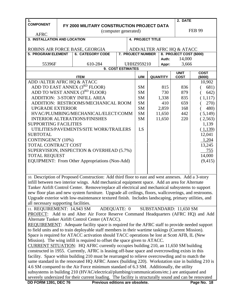| $\mathbf{1}$ .                       |  |                                                                                                        |  |  |                         |  |                 | 2. DATE                    |                   |  |
|--------------------------------------|--|--------------------------------------------------------------------------------------------------------|--|--|-------------------------|--|-----------------|----------------------------|-------------------|--|
| <b>COMPONENT</b>                     |  | FY 2000 MILITARY CONSTRUCTION PROJECT DATA                                                             |  |  |                         |  |                 |                            |                   |  |
|                                      |  | (computer generated)                                                                                   |  |  |                         |  |                 |                            | <b>FEB 99</b>     |  |
| <b>AFRC</b>                          |  |                                                                                                        |  |  |                         |  |                 |                            |                   |  |
| 3. INSTALLATION AND LOCATION         |  |                                                                                                        |  |  | <b>4. PROJECT TITLE</b> |  |                 |                            |                   |  |
|                                      |  | ROBINS AIR FORCE BASE, GEORGIA                                                                         |  |  |                         |  |                 | ADD/ALTER AFRC HQ & ATACC  |                   |  |
| <b>5. PROGRAM ELEMENT</b>            |  | <b>6. CATEGORY CODE</b>                                                                                |  |  | 7. PROJECT NUMBER       |  |                 | 8. PROJECT COST (\$000)    |                   |  |
|                                      |  |                                                                                                        |  |  |                         |  | Auth:           | 14,000                     |                   |  |
| 55396F                               |  | 610-284                                                                                                |  |  | <b>UHHZ959210</b>       |  | Appr:           | 3,666                      |                   |  |
|                                      |  | 9. COST ESTIMATES                                                                                      |  |  |                         |  |                 |                            |                   |  |
|                                      |  |                                                                                                        |  |  |                         |  |                 | <b>UNIT</b><br><b>COST</b> | <b>COST</b>       |  |
| ADD / ALTER AFRC HQ & ATACC          |  | <b>ITEM</b>                                                                                            |  |  | U/M                     |  | <b>QUANTITY</b> |                            | (\$000)<br>10,902 |  |
|                                      |  | ADD TO EAST ANNEX (3 <sup>RD</sup> FLOOR)                                                              |  |  | SM                      |  | 815             | 836                        | 681)              |  |
|                                      |  | ADD TO WEST ANNEX (3RD FLOOR)                                                                          |  |  | <b>SM</b>               |  | 730             | 879                        | 642)              |  |
|                                      |  | <b>ADDITION: 3-STORY INFILL AREA</b>                                                                   |  |  | <b>SM</b>               |  | 1,338           | 835                        |                   |  |
|                                      |  |                                                                                                        |  |  |                         |  |                 |                            | (1,117)           |  |
|                                      |  | ADDITION: RESTROOMS/MECHANICAL ROOM                                                                    |  |  | SM                      |  | 410             | 659                        | 270)              |  |
| <b>UPGRADE EXTERIOR</b>              |  |                                                                                                        |  |  | SM                      |  | 2,859           | 168                        | 480)              |  |
|                                      |  | HVAC/PLUMBING/MECHANICAL/ELECT/COMM                                                                    |  |  | SM                      |  | 11,650          | 442                        | (5,149)           |  |
|                                      |  | <b>INTERIOR ALTERATIONS/FINISHES</b>                                                                   |  |  | <b>SM</b>               |  | 11,650          | 220                        | (2,563)           |  |
| <b>SUPPORTING FACILITIES</b>         |  |                                                                                                        |  |  |                         |  |                 |                            | 1,139             |  |
|                                      |  | UTILITIES/PAVEMENTS/SITE WORK/TRAILERS                                                                 |  |  | LS                      |  |                 |                            | (1,139)           |  |
| <b>SUBTOTAL</b>                      |  |                                                                                                        |  |  |                         |  |                 |                            | 12,041            |  |
| <b>CONTINGENCY</b> (10%)             |  |                                                                                                        |  |  |                         |  |                 |                            | 1,204             |  |
| TOTAL CONTRACT COST                  |  |                                                                                                        |  |  |                         |  |                 |                            | 13,245            |  |
|                                      |  | SUPERVISION, INSPECTION & OVERHEAD (5.7%)                                                              |  |  |                         |  |                 |                            | 755               |  |
| <b>TOTAL REQUEST</b>                 |  |                                                                                                        |  |  |                         |  |                 |                            | 14,000            |  |
|                                      |  | EQUIPMENT: From Other Appropriations (Non-Add)                                                         |  |  |                         |  |                 |                            | (9, 415)          |  |
|                                      |  |                                                                                                        |  |  |                         |  |                 |                            |                   |  |
|                                      |  |                                                                                                        |  |  |                         |  |                 |                            |                   |  |
|                                      |  | 10. Description of Proposed Construction: Add third floor to east and west annexes. Add a 3-story      |  |  |                         |  |                 |                            |                   |  |
|                                      |  | infill between two interior wings. Add mechanical equipment space. Add an area for Alternate           |  |  |                         |  |                 |                            |                   |  |
|                                      |  | Tanker Airlift Control Center. Remove/replace all electrical and mechanical subsystems to support      |  |  |                         |  |                 |                            |                   |  |
|                                      |  | new floor plan and new system furniture. Upgrade all ceilings, floors, wallcoverings, and restrooms.   |  |  |                         |  |                 |                            |                   |  |
|                                      |  | Upgrade exterior with low-maintenance textured finish. Includes landscaping, primary utilities, and    |  |  |                         |  |                 |                            |                   |  |
| all necessary supporting facilities. |  |                                                                                                        |  |  |                         |  |                 |                            |                   |  |
|                                      |  | 11. REQUIREMENT: 14,943 SM ADEQUATE: 0                                                                 |  |  |                         |  |                 | SUBSTANDARD: 11,650 SM     |                   |  |
|                                      |  | <b>PROJECT:</b> Add to and Alter Air Force Reserve Command Headquarters (AFRC HQ) and Add              |  |  |                         |  |                 |                            |                   |  |
|                                      |  | Alternate Tanker Airlift Control Center (ATACC).                                                       |  |  |                         |  |                 |                            |                   |  |
|                                      |  | <b>REQUIREMENT:</b> Adequate facility space is required for the AFRC staff to provide needed support   |  |  |                         |  |                 |                            |                   |  |
|                                      |  | to field units and to train deployable staff members in their wartime taskings (Current Mission).      |  |  |                         |  |                 |                            |                   |  |
|                                      |  | Space is required for ATACC activation should TACC operations be lost at Scott AFB, IL (New            |  |  |                         |  |                 |                            |                   |  |
|                                      |  | Mission). The wing infill is required to offset the space given to ATACC.                              |  |  |                         |  |                 |                            |                   |  |
|                                      |  | <b>CURRENT SITUATION:</b> HQ AFRC currently occupies building 210, an 11,650 SM building               |  |  |                         |  |                 |                            |                   |  |
|                                      |  | constructed in 1955. Currently, AFRC is leasing off-base space and overcrowding exists in this         |  |  |                         |  |                 |                            |                   |  |
|                                      |  | facility. Space within building 210 must be rearranged to relieve overcrowding and to match the        |  |  |                         |  |                 |                            |                   |  |
|                                      |  | same standard in the renovated HQ AFRC Annex (building 220). Workstation size in building 210 is       |  |  |                         |  |                 |                            |                   |  |
|                                      |  | 4.6 SM compared to the Air Force minimum standard of 6.3 SM. Additionally, the utility                 |  |  |                         |  |                 |                            |                   |  |
|                                      |  | subsystems in building 210 (HVAC/electrical/plumbing/communications/etc.) are antiquated and           |  |  |                         |  |                 |                            |                   |  |
|                                      |  | severely undersized for their current loading. The facility is structurally sound and can be renovated |  |  |                         |  |                 |                            |                   |  |
| <b>DD FORM 1391, DEC 76</b>          |  | Previous editions are obsolete.                                                                        |  |  |                         |  |                 |                            | Page No. 18       |  |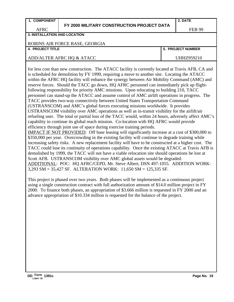|  |  |  |  | <b>1. COMPONENT</b> |
|--|--|--|--|---------------------|
|--|--|--|--|---------------------|

#### **FY 2000 MILITARY CONSTRUCTION PROJECT DATA**

FEB 99

#### AFRC **3. INSTALLATION AND LOCATION**

#### ROBINS AIR FORCE BASE, GEORGIA

#### **4. PROJECT TITLE 5. PROJECT NUMBER**

#### ADD/ALTER AFRC HQ & ATACC UHHZ959210

for less cost than new construction. The ATACC facility is currently located at Travis AFB, CA and is scheduled for demolition by FY 1999, requiring a move to another site. Locating the ATACC within the AFRC HQ facility will enhance the synergy between Air Mobility Command (AMC) and reserve forces. Should the TACC go down, HQ AFRC personnel can immediately pick up flightfollowing responsibility for priority AMC missions. Upon relocating to building 210, TACC personnel can stand-up the ATACC and assume control of AMC airlift operations in progress. The TACC provides two-way connectivity between United States Transportation Command (USTRANSCOM) and AMC's global forces executing missions worldwide. It provides USTRANSCOM visibility over AMC operations as well as in-transit visibility for the airlift/air refueling user. The total or partial loss of the TACC would, within 24 hours, adversely affect AMC's capability to continue its global reach mission. Co-location with HQ AFRC would provide efficiency through joint use of space during exercise training periods.

IMPACT IF NOT PROVIDED: Off base leasing will significantly increase at a cost of \$300,000 to \$350,000 per year. Overcrowding in the existing facility will continue to degrade training while increasing safety risks. A new replacement facility will have to be constructed at a higher cost. The TACC could lose its continuity of operations capability. Once the existing ATACC at Travis AFB is demolished by 1999, the TACC will not have a viable relocation site should operations be lost at Scott AFB. USTRANSCOM visibility over AMC global assets would be degraded. ADDITIONAL: POC: HQ AFRC/CEPD, Mr. Steve Albert, DSN 497-1055. ADDITION WORK: 3,293 SM = 35,427 SF. ALTERATION WORK: 11,650 SM = 125,335 SF.

This project is phased over two years. Both phases will be implemented as a continuous project using a single construction contract with full authorization amount of \$14.0 million project in FY 2000. To finance both phases, an appropriation of \$3.666 million is requested in FY 2000 and an advance appropriation of \$10.334 million is requested for the balance of the project.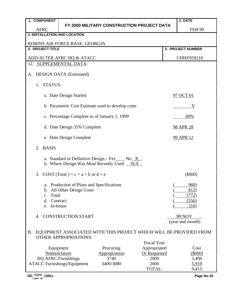| FY 2000 MILITARY CONSTRUCTION PROJECT DATA<br><b>AFRC</b><br><b>FEB 99</b><br><b>3. INSTALLATION AND LOCATION</b><br>ROBINS AIR FORCE BASE, GEORGIA<br><b>4. PROJECT TITLE</b><br>5. PROJECT NUMBER<br>ADD/ALTER AFRC HQ & ATACC<br><b>UHHZ959210</b><br>12. SUPPLEMENTAL DATA:<br><b>DESIGN DATA</b> (Estimated)<br>A.<br><b>STATUS</b><br>1.<br>a. Date Design Started<br>97 OCT 01<br>b. Parametric Cost Estimate used to develop costs<br>Y<br>c. Percentage Complete as of January 1, 1999<br>60%<br>d. Date Design 35% Complete<br><b>98 APR 28</b><br>e. Date Design Complete<br><b>99 APR 12</b><br>2.<br><b>BASIS</b><br>a. Standard or Definitive Design - Yes $\_\text{No} \times$ .<br>b. Where Design Was Most Recently Used $N/A$ .<br>COST (Total) = $c = a + b$ or $d + e$<br>$(\$000)$<br>3.<br>a. Production of Plans and Specifications<br>960)<br>b. All Other Design Costs<br>812)<br>Total<br>1772)<br>$C_{\bullet}$<br>Contract<br><u>1556</u> )<br>d.<br>In-house<br>216)<br>e.<br><b>CONSTRUCTION START</b><br><b>99 NOV</b><br>4.<br>(year and month)<br><b>B.</b><br>EQUIPMENT ASSOCIATED WITH THIS PROJECT WHICH WILL BE PROVIDED FROM<br><b>OTHER APPROPRIATIONS:</b><br><b>Fiscal Year</b><br>Appropriated<br>Equipment<br>Procuring<br>Cost<br>Nomenclature<br><b>Or Requested</b><br>Appropriation<br>$(\$000)$<br><b>HQ AFRC Furnishings</b><br>3740<br>2000<br>3,496<br><b>ATACC Furnishings/Equipment</b><br>3400/3080<br>2000<br>5,919<br>TOTAL:<br>9,415<br>DD Form 1391c<br>Page No 20 | 1. COMPONENT |  |  | 2. DATE |
|------------------------------------------------------------------------------------------------------------------------------------------------------------------------------------------------------------------------------------------------------------------------------------------------------------------------------------------------------------------------------------------------------------------------------------------------------------------------------------------------------------------------------------------------------------------------------------------------------------------------------------------------------------------------------------------------------------------------------------------------------------------------------------------------------------------------------------------------------------------------------------------------------------------------------------------------------------------------------------------------------------------------------------------------------------------------------------------------------------------------------------------------------------------------------------------------------------------------------------------------------------------------------------------------------------------------------------------------------------------------------------------------------------------------------------------------------------------------------------------------------------------------------|--------------|--|--|---------|
|                                                                                                                                                                                                                                                                                                                                                                                                                                                                                                                                                                                                                                                                                                                                                                                                                                                                                                                                                                                                                                                                                                                                                                                                                                                                                                                                                                                                                                                                                                                              |              |  |  |         |
|                                                                                                                                                                                                                                                                                                                                                                                                                                                                                                                                                                                                                                                                                                                                                                                                                                                                                                                                                                                                                                                                                                                                                                                                                                                                                                                                                                                                                                                                                                                              |              |  |  |         |
|                                                                                                                                                                                                                                                                                                                                                                                                                                                                                                                                                                                                                                                                                                                                                                                                                                                                                                                                                                                                                                                                                                                                                                                                                                                                                                                                                                                                                                                                                                                              |              |  |  |         |
|                                                                                                                                                                                                                                                                                                                                                                                                                                                                                                                                                                                                                                                                                                                                                                                                                                                                                                                                                                                                                                                                                                                                                                                                                                                                                                                                                                                                                                                                                                                              |              |  |  |         |
|                                                                                                                                                                                                                                                                                                                                                                                                                                                                                                                                                                                                                                                                                                                                                                                                                                                                                                                                                                                                                                                                                                                                                                                                                                                                                                                                                                                                                                                                                                                              |              |  |  |         |
|                                                                                                                                                                                                                                                                                                                                                                                                                                                                                                                                                                                                                                                                                                                                                                                                                                                                                                                                                                                                                                                                                                                                                                                                                                                                                                                                                                                                                                                                                                                              |              |  |  |         |
|                                                                                                                                                                                                                                                                                                                                                                                                                                                                                                                                                                                                                                                                                                                                                                                                                                                                                                                                                                                                                                                                                                                                                                                                                                                                                                                                                                                                                                                                                                                              |              |  |  |         |
|                                                                                                                                                                                                                                                                                                                                                                                                                                                                                                                                                                                                                                                                                                                                                                                                                                                                                                                                                                                                                                                                                                                                                                                                                                                                                                                                                                                                                                                                                                                              |              |  |  |         |
|                                                                                                                                                                                                                                                                                                                                                                                                                                                                                                                                                                                                                                                                                                                                                                                                                                                                                                                                                                                                                                                                                                                                                                                                                                                                                                                                                                                                                                                                                                                              |              |  |  |         |
|                                                                                                                                                                                                                                                                                                                                                                                                                                                                                                                                                                                                                                                                                                                                                                                                                                                                                                                                                                                                                                                                                                                                                                                                                                                                                                                                                                                                                                                                                                                              |              |  |  |         |
|                                                                                                                                                                                                                                                                                                                                                                                                                                                                                                                                                                                                                                                                                                                                                                                                                                                                                                                                                                                                                                                                                                                                                                                                                                                                                                                                                                                                                                                                                                                              |              |  |  |         |
|                                                                                                                                                                                                                                                                                                                                                                                                                                                                                                                                                                                                                                                                                                                                                                                                                                                                                                                                                                                                                                                                                                                                                                                                                                                                                                                                                                                                                                                                                                                              |              |  |  |         |
|                                                                                                                                                                                                                                                                                                                                                                                                                                                                                                                                                                                                                                                                                                                                                                                                                                                                                                                                                                                                                                                                                                                                                                                                                                                                                                                                                                                                                                                                                                                              |              |  |  |         |
|                                                                                                                                                                                                                                                                                                                                                                                                                                                                                                                                                                                                                                                                                                                                                                                                                                                                                                                                                                                                                                                                                                                                                                                                                                                                                                                                                                                                                                                                                                                              |              |  |  |         |
|                                                                                                                                                                                                                                                                                                                                                                                                                                                                                                                                                                                                                                                                                                                                                                                                                                                                                                                                                                                                                                                                                                                                                                                                                                                                                                                                                                                                                                                                                                                              |              |  |  |         |
|                                                                                                                                                                                                                                                                                                                                                                                                                                                                                                                                                                                                                                                                                                                                                                                                                                                                                                                                                                                                                                                                                                                                                                                                                                                                                                                                                                                                                                                                                                                              |              |  |  |         |
|                                                                                                                                                                                                                                                                                                                                                                                                                                                                                                                                                                                                                                                                                                                                                                                                                                                                                                                                                                                                                                                                                                                                                                                                                                                                                                                                                                                                                                                                                                                              |              |  |  |         |
|                                                                                                                                                                                                                                                                                                                                                                                                                                                                                                                                                                                                                                                                                                                                                                                                                                                                                                                                                                                                                                                                                                                                                                                                                                                                                                                                                                                                                                                                                                                              |              |  |  |         |
|                                                                                                                                                                                                                                                                                                                                                                                                                                                                                                                                                                                                                                                                                                                                                                                                                                                                                                                                                                                                                                                                                                                                                                                                                                                                                                                                                                                                                                                                                                                              |              |  |  |         |
|                                                                                                                                                                                                                                                                                                                                                                                                                                                                                                                                                                                                                                                                                                                                                                                                                                                                                                                                                                                                                                                                                                                                                                                                                                                                                                                                                                                                                                                                                                                              |              |  |  |         |
|                                                                                                                                                                                                                                                                                                                                                                                                                                                                                                                                                                                                                                                                                                                                                                                                                                                                                                                                                                                                                                                                                                                                                                                                                                                                                                                                                                                                                                                                                                                              |              |  |  |         |
|                                                                                                                                                                                                                                                                                                                                                                                                                                                                                                                                                                                                                                                                                                                                                                                                                                                                                                                                                                                                                                                                                                                                                                                                                                                                                                                                                                                                                                                                                                                              |              |  |  |         |
|                                                                                                                                                                                                                                                                                                                                                                                                                                                                                                                                                                                                                                                                                                                                                                                                                                                                                                                                                                                                                                                                                                                                                                                                                                                                                                                                                                                                                                                                                                                              |              |  |  |         |
|                                                                                                                                                                                                                                                                                                                                                                                                                                                                                                                                                                                                                                                                                                                                                                                                                                                                                                                                                                                                                                                                                                                                                                                                                                                                                                                                                                                                                                                                                                                              |              |  |  |         |
|                                                                                                                                                                                                                                                                                                                                                                                                                                                                                                                                                                                                                                                                                                                                                                                                                                                                                                                                                                                                                                                                                                                                                                                                                                                                                                                                                                                                                                                                                                                              |              |  |  |         |
|                                                                                                                                                                                                                                                                                                                                                                                                                                                                                                                                                                                                                                                                                                                                                                                                                                                                                                                                                                                                                                                                                                                                                                                                                                                                                                                                                                                                                                                                                                                              |              |  |  |         |
|                                                                                                                                                                                                                                                                                                                                                                                                                                                                                                                                                                                                                                                                                                                                                                                                                                                                                                                                                                                                                                                                                                                                                                                                                                                                                                                                                                                                                                                                                                                              |              |  |  |         |
|                                                                                                                                                                                                                                                                                                                                                                                                                                                                                                                                                                                                                                                                                                                                                                                                                                                                                                                                                                                                                                                                                                                                                                                                                                                                                                                                                                                                                                                                                                                              |              |  |  |         |
|                                                                                                                                                                                                                                                                                                                                                                                                                                                                                                                                                                                                                                                                                                                                                                                                                                                                                                                                                                                                                                                                                                                                                                                                                                                                                                                                                                                                                                                                                                                              |              |  |  |         |
|                                                                                                                                                                                                                                                                                                                                                                                                                                                                                                                                                                                                                                                                                                                                                                                                                                                                                                                                                                                                                                                                                                                                                                                                                                                                                                                                                                                                                                                                                                                              |              |  |  |         |
|                                                                                                                                                                                                                                                                                                                                                                                                                                                                                                                                                                                                                                                                                                                                                                                                                                                                                                                                                                                                                                                                                                                                                                                                                                                                                                                                                                                                                                                                                                                              |              |  |  |         |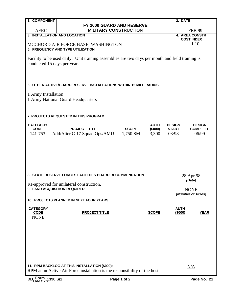| 1. COMPONENT                   |                                                                                                                             |                         | 2. DATE                               |  |  |  |  |  |  |  |
|--------------------------------|-----------------------------------------------------------------------------------------------------------------------------|-------------------------|---------------------------------------|--|--|--|--|--|--|--|
|                                | FY 2000 GUARD AND RESERVE                                                                                                   |                         |                                       |  |  |  |  |  |  |  |
| <b>AFRC</b>                    | <b>MILITARY CONSTRUCTION</b>                                                                                                |                         | <b>FEB 99</b>                         |  |  |  |  |  |  |  |
| 3. INSTALLATION AND LOCATION   |                                                                                                                             |                         | <b>4. AREA CONSTR</b>                 |  |  |  |  |  |  |  |
|                                | MCCHORD AIR FORCE BASE, WASHINGTON                                                                                          |                         | <b>COST INDEX</b><br>1.10             |  |  |  |  |  |  |  |
|                                | 5. FREQUENCY AND TYPE UTILIZATION                                                                                           |                         |                                       |  |  |  |  |  |  |  |
|                                |                                                                                                                             |                         |                                       |  |  |  |  |  |  |  |
|                                | Facility to be used daily. Unit training assemblies are two days per month and field training is                            |                         |                                       |  |  |  |  |  |  |  |
| conducted 15 days per year.    |                                                                                                                             |                         |                                       |  |  |  |  |  |  |  |
|                                |                                                                                                                             |                         |                                       |  |  |  |  |  |  |  |
|                                |                                                                                                                             |                         |                                       |  |  |  |  |  |  |  |
|                                | 6. OTHER ACTIVE/GUARD/RESERVE INSTALLATIONS WITHIN 15 MILE RADIUS                                                           |                         |                                       |  |  |  |  |  |  |  |
|                                |                                                                                                                             |                         |                                       |  |  |  |  |  |  |  |
| 1 Army Installation            |                                                                                                                             |                         |                                       |  |  |  |  |  |  |  |
|                                | 1 Army National Guard Headquarters                                                                                          |                         |                                       |  |  |  |  |  |  |  |
|                                |                                                                                                                             |                         |                                       |  |  |  |  |  |  |  |
|                                |                                                                                                                             |                         |                                       |  |  |  |  |  |  |  |
|                                | 7. PROJECTS REQUESTED IN THIS PROGRAM                                                                                       |                         |                                       |  |  |  |  |  |  |  |
| <b>CATEGORY</b>                |                                                                                                                             | <b>AUTH</b>             | <b>DESIGN</b><br><b>DESIGN</b>        |  |  |  |  |  |  |  |
| <b>CODE</b>                    | <b>PROJECT TITLE</b>                                                                                                        | <b>SCOPE</b><br>(\$000) | <b>START</b><br><b>COMPLETE</b>       |  |  |  |  |  |  |  |
| 141-753                        | Add/Alter C-17 Squad Ops/AMU                                                                                                | 1,750 SM<br>3,300       | 03/98<br>06/99                        |  |  |  |  |  |  |  |
|                                |                                                                                                                             |                         |                                       |  |  |  |  |  |  |  |
|                                |                                                                                                                             |                         |                                       |  |  |  |  |  |  |  |
|                                |                                                                                                                             |                         |                                       |  |  |  |  |  |  |  |
|                                |                                                                                                                             |                         |                                       |  |  |  |  |  |  |  |
|                                |                                                                                                                             |                         |                                       |  |  |  |  |  |  |  |
|                                |                                                                                                                             |                         |                                       |  |  |  |  |  |  |  |
|                                | 8. STATE RESERVE FORCES FACILITIES BOARD RECOMMENDATION                                                                     |                         | 28 Apr 98                             |  |  |  |  |  |  |  |
|                                |                                                                                                                             |                         | (Date)                                |  |  |  |  |  |  |  |
| 9. LAND ACQUISITION REQUIRED   | Re-approved for unilateral construction.                                                                                    |                         |                                       |  |  |  |  |  |  |  |
|                                |                                                                                                                             |                         | <b>NONE</b><br>(Number of Acres)      |  |  |  |  |  |  |  |
|                                | 10. PROJECTS PLANNED IN NEXT FOUR YEARS                                                                                     |                         |                                       |  |  |  |  |  |  |  |
|                                |                                                                                                                             |                         |                                       |  |  |  |  |  |  |  |
| <b>CATEGORY</b><br><b>CODE</b> | <b>PROJECT TITLE</b>                                                                                                        | <b>SCOPE</b>            | <b>AUTH</b><br>(\$000)<br><b>YEAR</b> |  |  |  |  |  |  |  |
| <b>NONE</b>                    |                                                                                                                             |                         |                                       |  |  |  |  |  |  |  |
|                                |                                                                                                                             |                         |                                       |  |  |  |  |  |  |  |
|                                |                                                                                                                             |                         |                                       |  |  |  |  |  |  |  |
|                                |                                                                                                                             |                         |                                       |  |  |  |  |  |  |  |
|                                |                                                                                                                             |                         |                                       |  |  |  |  |  |  |  |
|                                |                                                                                                                             |                         |                                       |  |  |  |  |  |  |  |
|                                |                                                                                                                             |                         |                                       |  |  |  |  |  |  |  |
|                                |                                                                                                                             |                         |                                       |  |  |  |  |  |  |  |
|                                |                                                                                                                             |                         |                                       |  |  |  |  |  |  |  |
|                                | 11. RPM BACKLOG AT THIS INSTALLATION (\$000):<br>RPM at an Active Air Force installation is the responsibility of the host. |                         | N/A                                   |  |  |  |  |  |  |  |
|                                |                                                                                                                             |                         |                                       |  |  |  |  |  |  |  |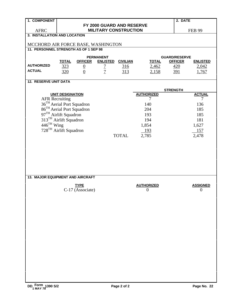| 1. COMPONENT                          |                                                                                                                                                                           |                                 |                                                    |                               |                                | 2. DATE                                              |                                   |
|---------------------------------------|---------------------------------------------------------------------------------------------------------------------------------------------------------------------------|---------------------------------|----------------------------------------------------|-------------------------------|--------------------------------|------------------------------------------------------|-----------------------------------|
|                                       |                                                                                                                                                                           |                                 | FY 2000 GUARD AND RESERVE                          |                               |                                |                                                      |                                   |
| <b>AFRC</b>                           |                                                                                                                                                                           |                                 | <b>MILITARY CONSTRUCTION</b>                       |                               |                                |                                                      | <b>FEB 99</b>                     |
| 3. INSTALLATION AND LOCATION          |                                                                                                                                                                           |                                 |                                                    |                               |                                |                                                      |                                   |
| MCCHORD AIR FORCE BASE, WASHINGTON    |                                                                                                                                                                           |                                 |                                                    |                               |                                |                                                      |                                   |
| 11. PERSONNEL STRENGTH AS OF 1 SEP 98 |                                                                                                                                                                           |                                 |                                                    |                               |                                |                                                      |                                   |
| <b>AUTHORIZED</b><br><b>ACTUAL</b>    | <b>TOTAL</b><br>323<br>320                                                                                                                                                | <b>OFFICER</b><br>$\frac{0}{0}$ | <b>PERMANENT</b><br><b>ENLISTED</b><br>$rac{7}{7}$ | <b>CIVILIAN</b><br>316<br>313 | <b>TOTAL</b><br>2,462<br>2,158 | <b>GUARD/RESERVE</b><br><b>OFFICER</b><br>420<br>391 | <b>ENLISTED</b><br>2,042<br>1,767 |
|                                       |                                                                                                                                                                           |                                 |                                                    |                               |                                |                                                      |                                   |
| <b>12. RESERVE UNIT DATA</b>          |                                                                                                                                                                           |                                 |                                                    |                               |                                |                                                      |                                   |
|                                       |                                                                                                                                                                           |                                 |                                                    |                               |                                | <b>STRENGTH</b>                                      |                                   |
|                                       | <b>UNIT DESIGNATION</b>                                                                                                                                                   |                                 |                                                    |                               | <b>AUTHORIZED</b>              |                                                      | <b>ACTUAL</b>                     |
| <b>AFR Recruiting</b>                 |                                                                                                                                                                           |                                 |                                                    |                               | $\tau$                         |                                                      | 7                                 |
|                                       | 36 <sup>TH</sup> Aerial Port Squadron                                                                                                                                     |                                 |                                                    |                               | 140                            |                                                      | 136                               |
|                                       | $86^{TH}$ Actian Fort Squadron<br>97 <sup>TH</sup> Airlift Squadron<br>313 <sup>TH</sup> Airlift Squadron<br>446 <sup>TH</sup> Wing<br>728 <sup>TH</sup> Airlift Squadron |                                 |                                                    |                               | 204                            |                                                      | 185                               |
|                                       |                                                                                                                                                                           |                                 |                                                    |                               | 193                            |                                                      | 185                               |
|                                       |                                                                                                                                                                           |                                 |                                                    |                               | 194                            |                                                      | 181                               |
|                                       |                                                                                                                                                                           |                                 |                                                    |                               | 1,854                          |                                                      | 1,627                             |
|                                       |                                                                                                                                                                           |                                 |                                                    |                               | 193                            |                                                      | 157                               |
|                                       |                                                                                                                                                                           |                                 |                                                    | <b>TOTAL</b>                  | 2,785                          |                                                      | 2,478                             |
|                                       |                                                                                                                                                                           |                                 |                                                    |                               |                                |                                                      |                                   |
|                                       |                                                                                                                                                                           |                                 |                                                    |                               |                                |                                                      |                                   |
|                                       |                                                                                                                                                                           |                                 |                                                    |                               |                                |                                                      |                                   |
|                                       |                                                                                                                                                                           |                                 |                                                    |                               |                                |                                                      |                                   |
|                                       |                                                                                                                                                                           |                                 |                                                    |                               |                                |                                                      |                                   |
|                                       |                                                                                                                                                                           |                                 |                                                    |                               |                                |                                                      |                                   |
|                                       |                                                                                                                                                                           |                                 |                                                    |                               |                                |                                                      |                                   |
| 13. MAJOR EQUIPMENT AND AIRCRAFT      |                                                                                                                                                                           |                                 |                                                    |                               |                                |                                                      |                                   |
|                                       |                                                                                                                                                                           | <b>TYPE</b>                     |                                                    |                               | <b>AUTHORIZED</b>              |                                                      | <b>ASSIGNED</b>                   |
|                                       |                                                                                                                                                                           | C-17 (Associate)                |                                                    |                               | $\overline{0}$                 |                                                      | $\overline{\mathbf{0}}$           |
|                                       |                                                                                                                                                                           |                                 |                                                    |                               |                                |                                                      |                                   |
|                                       |                                                                                                                                                                           |                                 |                                                    |                               |                                |                                                      |                                   |
|                                       |                                                                                                                                                                           |                                 |                                                    |                               |                                |                                                      |                                   |
|                                       |                                                                                                                                                                           |                                 |                                                    |                               |                                |                                                      |                                   |
|                                       |                                                                                                                                                                           |                                 |                                                    |                               |                                |                                                      |                                   |
|                                       |                                                                                                                                                                           |                                 |                                                    |                               |                                |                                                      |                                   |
|                                       |                                                                                                                                                                           |                                 |                                                    |                               |                                |                                                      |                                   |
|                                       |                                                                                                                                                                           |                                 |                                                    |                               |                                |                                                      |                                   |
|                                       |                                                                                                                                                                           |                                 |                                                    |                               |                                |                                                      |                                   |
|                                       |                                                                                                                                                                           |                                 |                                                    |                               |                                |                                                      |                                   |
|                                       |                                                                                                                                                                           |                                 |                                                    |                               |                                |                                                      |                                   |
|                                       |                                                                                                                                                                           |                                 |                                                    |                               |                                |                                                      |                                   |
|                                       |                                                                                                                                                                           |                                 |                                                    |                               |                                |                                                      |                                   |
|                                       |                                                                                                                                                                           |                                 |                                                    |                               |                                |                                                      |                                   |
|                                       |                                                                                                                                                                           |                                 |                                                    |                               |                                |                                                      |                                   |
|                                       |                                                                                                                                                                           |                                 |                                                    |                               |                                |                                                      |                                   |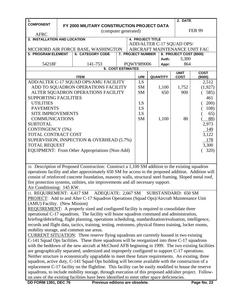| $\mathbf{1}$ .                                                            |  |                                                                                                                              |                                                            |  |                          |  |                 | 2. DATE                 |               |
|---------------------------------------------------------------------------|--|------------------------------------------------------------------------------------------------------------------------------|------------------------------------------------------------|--|--------------------------|--|-----------------|-------------------------|---------------|
| <b>COMPONENT</b>                                                          |  | FY 2000 MILITARY CONSTRUCTION PROJECT DATA                                                                                   |                                                            |  |                          |  |                 |                         |               |
|                                                                           |  | (computer generated)                                                                                                         |                                                            |  |                          |  |                 |                         | <b>FEB 99</b> |
| <b>AFRC</b>                                                               |  |                                                                                                                              |                                                            |  |                          |  |                 |                         |               |
| 3. INSTALLATION AND LOCATION                                              |  |                                                                                                                              |                                                            |  | <b>4. PROJECT TITLE</b>  |  |                 |                         |               |
|                                                                           |  |                                                                                                                              | ADD/ALTER C-17 SQUAD OPS/<br>AIRCRAFT MAINTENANCE UNIT FAC |  |                          |  |                 |                         |               |
| <b>5. PROGRAM ELEMENT</b>                                                 |  | MCCHORD AIR FORCE BASE, WASHINGTON<br><b>6. CATEGORY CODE</b>                                                                |                                                            |  | <b>7. PROJECT NUMBER</b> |  |                 | 8. PROJECT COST (\$000) |               |
|                                                                           |  |                                                                                                                              |                                                            |  |                          |  | Auth:           | 3,300                   |               |
| 54218F                                                                    |  | 141-753                                                                                                                      |                                                            |  | PQWY989006               |  | Appr:           | 864                     |               |
|                                                                           |  | 9. COST ESTIMATES                                                                                                            |                                                            |  |                          |  |                 |                         |               |
|                                                                           |  |                                                                                                                              |                                                            |  |                          |  |                 | <b>UNIT</b>             | <b>COST</b>   |
|                                                                           |  | <b>ITEM</b>                                                                                                                  |                                                            |  | U/M                      |  | <b>QUANTITY</b> | <b>COST</b>             | (\$000)       |
|                                                                           |  | ADD/ALTER C-17 SQUAD OPS/AMU FACILITY                                                                                        |                                                            |  | LS                       |  |                 |                         | 2,512         |
| ADD TO SQUADRON OPERATIONS FACILITY<br>ALTER SQUADRON OPERATIONS FACILITY |  |                                                                                                                              |                                                            |  | <b>SM</b><br><b>SM</b>   |  | 1,100<br>650    | 1,752<br>900            | (1,927)       |
| <b>SUPPORTING FACILITIES</b>                                              |  |                                                                                                                              |                                                            |  |                          |  |                 |                         | 585)<br>461   |
| <b>UTILITIES</b>                                                          |  |                                                                                                                              |                                                            |  | LS                       |  |                 |                         | 200)          |
| <b>PAVEMENTS</b>                                                          |  |                                                                                                                              |                                                            |  | LS                       |  |                 |                         | 108)          |
| <b>SITE IMPROVEMENTS</b>                                                  |  |                                                                                                                              |                                                            |  | LS                       |  |                 |                         | 65)           |
| <b>COMMUNICATIONS</b>                                                     |  |                                                                                                                              |                                                            |  | <b>SM</b>                |  | 1,100           | 80                      | 88)           |
| <b>SUBTOTAL</b>                                                           |  |                                                                                                                              |                                                            |  |                          |  |                 |                         | 2,973         |
| <b>CONTINGENCY (5%)</b>                                                   |  |                                                                                                                              |                                                            |  |                          |  |                 |                         | 149           |
| TOTAL CONTRACT COST                                                       |  |                                                                                                                              |                                                            |  |                          |  |                 |                         | 3,122         |
|                                                                           |  | SUPERVISION, INSPECTION & OVERHEAD (5.7%)                                                                                    |                                                            |  |                          |  |                 |                         | 178           |
| <b>TOTAL REQUEST</b>                                                      |  |                                                                                                                              |                                                            |  |                          |  |                 |                         | 3,300         |
|                                                                           |  | EQUIPMENT: From Other Appropriations (Non-Add)                                                                               |                                                            |  |                          |  |                 |                         | 320)          |
|                                                                           |  |                                                                                                                              |                                                            |  |                          |  |                 |                         |               |
|                                                                           |  |                                                                                                                              |                                                            |  |                          |  |                 |                         |               |
|                                                                           |  | 10. Description of Proposed Construction: Construct a 1,100 SM addition to the existing squadron                             |                                                            |  |                          |  |                 |                         |               |
|                                                                           |  | operations facility and alter approximately 650 SM for access to the proposed addition. Addition will                        |                                                            |  |                          |  |                 |                         |               |
|                                                                           |  | consist of reinforced concrete foundation, masonry walls, structural steel framing. Sloped metal roof,                       |                                                            |  |                          |  |                 |                         |               |
|                                                                           |  | fire protection systems, utilities, site improvements and all necessary support.                                             |                                                            |  |                          |  |                 |                         |               |
| Air Conditioning: 145 KW.                                                 |  |                                                                                                                              |                                                            |  |                          |  |                 |                         |               |
| 11. REQUIREMENT: 4,417 SM                                                 |  | ADEQUATE: 2,667 SM                                                                                                           |                                                            |  |                          |  |                 | SUBSTANDARD: 650 SM     |               |
|                                                                           |  | <b>PROJECT:</b> Add to and Alter C-17 Squadron Operations (Squad Ops)/Aircraft Maintenance Unit                              |                                                            |  |                          |  |                 |                         |               |
| (AMU) Facility. (New Mission)                                             |  |                                                                                                                              |                                                            |  |                          |  |                 |                         |               |
|                                                                           |  | <b>REQUIREMENT:</b> A properly sized and configured facility is required to consolidate three                                |                                                            |  |                          |  |                 |                         |               |
|                                                                           |  | operational C-17 squadrons. The facility will house squadron command and administration,                                     |                                                            |  |                          |  |                 |                         |               |
|                                                                           |  | briefing/debriefing, flight planning, operations scheduling, standardization/evaluation, intelligence,                       |                                                            |  |                          |  |                 |                         |               |
|                                                                           |  | records and flight data, tactics, training, testing, restrooms, physical fitness training, locker rooms,                     |                                                            |  |                          |  |                 |                         |               |
|                                                                           |  | mobility storage, and common use areas.                                                                                      |                                                            |  |                          |  |                 |                         |               |
|                                                                           |  | <b>CURRENT SITUATION:</b> Three reserve flying squadrons are currently housed in two existing                                |                                                            |  |                          |  |                 |                         |               |
|                                                                           |  | C-141 Squad Ops facilities. These three squadrons will be reorganized into three C-17 squadrons                              |                                                            |  |                          |  |                 |                         |               |
|                                                                           |  | with the beddown of the new aircraft at McChord AFB beginning in 1999. The two existing facilities                           |                                                            |  |                          |  |                 |                         |               |
|                                                                           |  | are geographically separated, undersized and improperly configured to support C-17 operations.                               |                                                            |  |                          |  |                 |                         |               |
|                                                                           |  | Neither structure is economically upgradable to meet these future requirements. An existing, three                           |                                                            |  |                          |  |                 |                         |               |
|                                                                           |  | squadron, active duty, C-141 Squad Ops building will become available with the construction of a                             |                                                            |  |                          |  |                 |                         |               |
|                                                                           |  | replacement C-17 facility on the flightline. This facility can be easily modified to house the reserve                       |                                                            |  |                          |  |                 |                         |               |
|                                                                           |  | squadrons, to include mobility storage, through execution of this proposed add/alter project. Follow-                        |                                                            |  |                          |  |                 |                         |               |
| <b>DD FORM 1391, DEC 76</b>                                               |  | on uses of the existing facilities have been identified to meet other space deficiencies.<br>Previous editions are obsolete. |                                                            |  |                          |  |                 |                         | Page No. 23   |
|                                                                           |  |                                                                                                                              |                                                            |  |                          |  |                 |                         |               |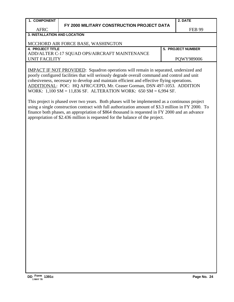#### **FY 2000 MILITARY CONSTRUCTION PROJECT DATA**

FEB 99

#### AFRC **3. INSTALLATION AND LOCATION**

#### MCCHORD AIR FORCE BASE, WASHINGTON

**4. PROJECT TITLE 5. PROJECT NUMBER** ADD/ALTER C-17 SQUAD OPS/AIRCRAFT MAINTENANCE UNIT FACILITY POWY989006

IMPACT IF NOT PROVIDED: Squadron operations will remain in separated, undersized and poorly configured facilities that will seriously degrade overall command and control and unit cohesiveness, necessary to develop and maintain efficient and effective flying operations. ADDITIONAL: POC: HQ AFRC/CEPD, Mr. Ceaser Gorman, DSN 497-1053. ADDITION WORK: 1,100 SM = 11,836 SF. ALTERATION WORK: 650 SM = 6,994 SF.

This project is phased over two years. Both phases will be implemented as a continuous project using a single construction contract with full authorization amount of \$3.3 million in FY 2000. To finance both phases, an appropriation of \$864 thousand is requested in FY 2000 and an advance appropriation of \$2.436 million is requested for the balance of the project.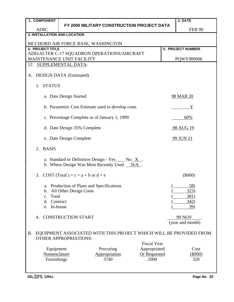| 1. COMPONENT              |                                                                                                         |                                                                                                                 |                     | 2. DATE                            |
|---------------------------|---------------------------------------------------------------------------------------------------------|-----------------------------------------------------------------------------------------------------------------|---------------------|------------------------------------|
|                           |                                                                                                         | FY 2000 MILITARY CONSTRUCTION PROJECT DATA                                                                      |                     |                                    |
| <b>AFRC</b>               |                                                                                                         |                                                                                                                 |                     | <b>FEB 99</b>                      |
|                           | <b>3. INSTALLATION AND LOCATION</b>                                                                     |                                                                                                                 |                     |                                    |
|                           | MCCHORD AIR FORCE BASE, WASHINGTON                                                                      |                                                                                                                 |                     |                                    |
| <b>4. PROJECT TITLE</b>   |                                                                                                         |                                                                                                                 |                     | 5. PROJECT NUMBER                  |
|                           |                                                                                                         | ADD/ALTER C-17 SQUADRON OPERATIONS/AIRCRAFT                                                                     |                     |                                    |
|                           | MAINTENANCE UNIT FACILITY                                                                               |                                                                                                                 |                     | PQWY989006                         |
|                           | 12. SUPPLEMENTAL DATA:                                                                                  |                                                                                                                 |                     |                                    |
| A.                        | <b>DESIGN DATA</b> (Estimated)                                                                          |                                                                                                                 |                     |                                    |
| 1.                        | <b>STATUS</b>                                                                                           |                                                                                                                 |                     |                                    |
|                           | a. Date Design Started                                                                                  |                                                                                                                 |                     | <b>98 MAR 20</b>                   |
|                           |                                                                                                         | b. Parametric Cost Estimate used to develop costs                                                               |                     | Y                                  |
|                           | c. Percentage Complete as of January 1, 1999                                                            |                                                                                                                 |                     | 60%                                |
|                           | d. Date Design 35% Complete                                                                             |                                                                                                                 |                     | <u>98 AUG 19</u>                   |
|                           | e. Date Design Complete                                                                                 |                                                                                                                 |                     | <u>99 JUN 21</u>                   |
| <b>BASIS</b><br>2.        |                                                                                                         |                                                                                                                 |                     |                                    |
|                           |                                                                                                         | a. Standard or Definitive Design - Yes $\_\text{No} \times$ .<br>b. Where Design Was Most Recently Used $N/A$ . |                     |                                    |
|                           | 3. COST (Total) = $c = a + b$ or $d + e$                                                                |                                                                                                                 |                     | $(\$000)$                          |
| $C_{\bullet}$<br>d.<br>e. | a. Production of Plans and Specifications<br>b. All Other Design Costs<br>Total<br>Contract<br>In-house |                                                                                                                 |                     | 58)<br>323)<br>381)<br>342)<br>39) |
| 4.                        | <b>CONSTRUCTION START</b>                                                                               |                                                                                                                 |                     | 99 NOV<br>(year and month)         |
| <b>B.</b>                 | <b>OTHER APPROPRIATIONS:</b>                                                                            | EQUIPMENT ASSOCIATED WITH THIS PROJECT WHICH WILL BE PROVIDED FROM                                              | <b>Fiscal Year</b>  |                                    |
|                           | Equipment                                                                                               | Procuring                                                                                                       | Appropriated        | Cost                               |
|                           | Nomenclature                                                                                            | Appropriation                                                                                                   | <b>Or Requested</b> | (5000)                             |
|                           | Furnishings                                                                                             | 3740                                                                                                            | 2000                | 320                                |
|                           |                                                                                                         |                                                                                                                 |                     |                                    |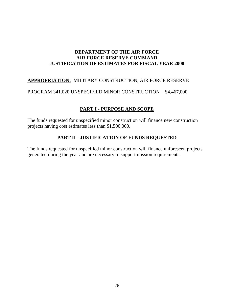#### **DEPARTMENT OF THE AIR FORCE AIR FORCE RESERVE COMMAND JUSTIFICATION OF ESTIMATES FOR FISCAL YEAR 2000**

#### **APPROPRIATION:** MILITARY CONSTRUCTION, AIR FORCE RESERVE

PROGRAM 341.020 UNSPECIFIED MINOR CONSTRUCTION \$4,467,000

#### **PART I - PURPOSE AND SCOPE**

The funds requested for unspecified minor construction will finance new construction projects having cost estimates less than \$1,500,000.

#### **PART II - JUSTIFICATION OF FUNDS REQUESTED**

The funds requested for unspecified minor construction will finance unforeseen projects generated during the year and are necessary to support mission requirements.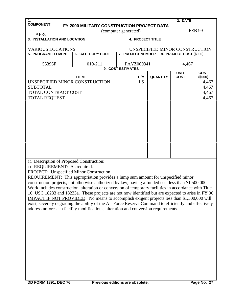| 1.                            |  |                                                                                                                                                                                                            |  |  |                   |                 | 2. DATE                    |                                |  |
|-------------------------------|--|------------------------------------------------------------------------------------------------------------------------------------------------------------------------------------------------------------|--|--|-------------------|-----------------|----------------------------|--------------------------------|--|
| <b>COMPONENT</b>              |  | FY 2000 MILITARY CONSTRUCTION PROJECT DATA                                                                                                                                                                 |  |  |                   |                 |                            |                                |  |
| <b>AFRC</b>                   |  | (computer generated)                                                                                                                                                                                       |  |  |                   |                 |                            | <b>FEB 99</b>                  |  |
| 3. INSTALLATION AND LOCATION  |  |                                                                                                                                                                                                            |  |  | 4. PROJECT TITLE  |                 |                            |                                |  |
|                               |  |                                                                                                                                                                                                            |  |  |                   |                 |                            |                                |  |
| <b>VARIOUS LOCATIONS</b>      |  |                                                                                                                                                                                                            |  |  |                   |                 |                            | UNSPECIFIED MINOR CONSTRUCTION |  |
| <b>5. PROGRAM ELEMENT</b>     |  | <b>6. CATEGORY CODE</b>                                                                                                                                                                                    |  |  | 7. PROJECT NUMBER |                 | 8. PROJECT COST (\$000)    |                                |  |
| 55396F                        |  | 010-211                                                                                                                                                                                                    |  |  | PAYZ000341        |                 | 4,467                      |                                |  |
|                               |  | 9. COST ESTIMATES                                                                                                                                                                                          |  |  |                   |                 |                            |                                |  |
|                               |  | <b>ITEM</b>                                                                                                                                                                                                |  |  | U/M               | <b>QUANTITY</b> | <b>UNIT</b><br><b>COST</b> | <b>COST</b><br>(\$000)         |  |
|                               |  | UNSPECIFIED MINOR CONSTRUCTION                                                                                                                                                                             |  |  | LS                |                 |                            | <u>4,467</u>                   |  |
| <b>SUBTOTAL</b>               |  |                                                                                                                                                                                                            |  |  |                   |                 |                            | 4,467                          |  |
| TOTAL CONTRACT COST           |  |                                                                                                                                                                                                            |  |  |                   |                 |                            | 4,467                          |  |
| <b>TOTAL REQUEST</b>          |  |                                                                                                                                                                                                            |  |  |                   |                 |                            | 4,467                          |  |
|                               |  |                                                                                                                                                                                                            |  |  |                   |                 |                            |                                |  |
|                               |  |                                                                                                                                                                                                            |  |  |                   |                 |                            |                                |  |
|                               |  |                                                                                                                                                                                                            |  |  |                   |                 |                            |                                |  |
|                               |  |                                                                                                                                                                                                            |  |  |                   |                 |                            |                                |  |
|                               |  |                                                                                                                                                                                                            |  |  |                   |                 |                            |                                |  |
|                               |  |                                                                                                                                                                                                            |  |  |                   |                 |                            |                                |  |
|                               |  |                                                                                                                                                                                                            |  |  |                   |                 |                            |                                |  |
|                               |  |                                                                                                                                                                                                            |  |  |                   |                 |                            |                                |  |
|                               |  |                                                                                                                                                                                                            |  |  |                   |                 |                            |                                |  |
|                               |  |                                                                                                                                                                                                            |  |  |                   |                 |                            |                                |  |
|                               |  | 10. Description of Proposed Construction:                                                                                                                                                                  |  |  |                   |                 |                            |                                |  |
| 11. REQUIREMENT: As required. |  |                                                                                                                                                                                                            |  |  |                   |                 |                            |                                |  |
|                               |  | <b>PROJECT:</b> Unspecified Minor Construction                                                                                                                                                             |  |  |                   |                 |                            |                                |  |
|                               |  | <b>REQUIREMENT:</b> This appropriation provides a lump sum amount for unspecified minor                                                                                                                    |  |  |                   |                 |                            |                                |  |
|                               |  | construction projects, not otherwise authorized by law, having a funded cost less than \$1,500,000.                                                                                                        |  |  |                   |                 |                            |                                |  |
|                               |  | Work includes construction, alteration or conversion of temporary facilities in accordance with Title                                                                                                      |  |  |                   |                 |                            |                                |  |
|                               |  | 10, USC 18233 and 18233a. These projects are not now identified but are expected to arise in FY 00.                                                                                                        |  |  |                   |                 |                            |                                |  |
|                               |  | <b>IMPACT IF NOT PROVIDED:</b> No means to accomplish exigent projects less than \$1,500,000 will<br>exist, severely degrading the ability of the Air Force Reserve Command to efficiently and effectively |  |  |                   |                 |                            |                                |  |
|                               |  | address unforeseen facility modifications, alteration and conversion requirements.                                                                                                                         |  |  |                   |                 |                            |                                |  |
|                               |  |                                                                                                                                                                                                            |  |  |                   |                 |                            |                                |  |
|                               |  |                                                                                                                                                                                                            |  |  |                   |                 |                            |                                |  |
|                               |  |                                                                                                                                                                                                            |  |  |                   |                 |                            |                                |  |
|                               |  |                                                                                                                                                                                                            |  |  |                   |                 |                            |                                |  |
|                               |  |                                                                                                                                                                                                            |  |  |                   |                 |                            |                                |  |
|                               |  |                                                                                                                                                                                                            |  |  |                   |                 |                            |                                |  |
|                               |  |                                                                                                                                                                                                            |  |  |                   |                 |                            |                                |  |
|                               |  |                                                                                                                                                                                                            |  |  |                   |                 |                            |                                |  |
|                               |  |                                                                                                                                                                                                            |  |  |                   |                 |                            |                                |  |
|                               |  |                                                                                                                                                                                                            |  |  |                   |                 |                            |                                |  |
|                               |  |                                                                                                                                                                                                            |  |  |                   |                 |                            |                                |  |
|                               |  |                                                                                                                                                                                                            |  |  |                   |                 |                            |                                |  |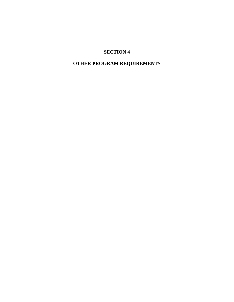#### **OTHER PROGRAM REQUIREMENTS**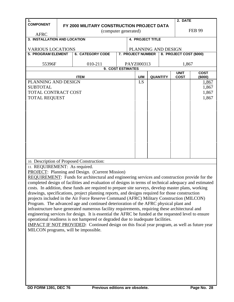| 1.                                     |  |                                                                                                       |  |                          |               |                 | 2. DATE                 |                |  |
|----------------------------------------|--|-------------------------------------------------------------------------------------------------------|--|--------------------------|---------------|-----------------|-------------------------|----------------|--|
| <b>COMPONENT</b>                       |  | FY 2000 MILITARY CONSTRUCTION PROJECT DATA                                                            |  |                          |               |                 |                         |                |  |
| <b>AFRC</b>                            |  | (computer generated)                                                                                  |  |                          | <b>FEB 99</b> |                 |                         |                |  |
| 3. INSTALLATION AND LOCATION           |  |                                                                                                       |  | <b>4. PROJECT TITLE</b>  |               |                 |                         |                |  |
| <b>VARIOUS LOCATIONS</b>               |  |                                                                                                       |  | PLANNING AND DESIGN      |               |                 |                         |                |  |
| <b>5. PROGRAM ELEMENT</b>              |  | <b>6. CATEGORY CODE</b>                                                                               |  | <b>7. PROJECT NUMBER</b> |               |                 | 8. PROJECT COST (\$000) |                |  |
|                                        |  |                                                                                                       |  |                          |               |                 |                         |                |  |
| 55396F                                 |  | 010-211                                                                                               |  | PAYZ000313               |               |                 | 1,867                   |                |  |
|                                        |  | 9. COST ESTIMATES                                                                                     |  |                          |               |                 | <b>UNIT</b>             | <b>COST</b>    |  |
|                                        |  | <b>ITEM</b>                                                                                           |  | U/M                      |               | <b>QUANTITY</b> | <b>COST</b>             | (\$000)        |  |
| PLANNING AND DESIGN                    |  |                                                                                                       |  | LS.                      |               |                 |                         | <u>1,867</u>   |  |
| <b>SUBTOTAL</b><br>TOTAL CONTRACT COST |  |                                                                                                       |  |                          |               |                 |                         | 1,867          |  |
|                                        |  |                                                                                                       |  |                          |               |                 |                         | 1,867<br>1,867 |  |
| <b>TOTAL REQUEST</b>                   |  |                                                                                                       |  |                          |               |                 |                         |                |  |
|                                        |  |                                                                                                       |  |                          |               |                 |                         |                |  |
|                                        |  |                                                                                                       |  |                          |               |                 |                         |                |  |
|                                        |  |                                                                                                       |  |                          |               |                 |                         |                |  |
|                                        |  |                                                                                                       |  |                          |               |                 |                         |                |  |
|                                        |  |                                                                                                       |  |                          |               |                 |                         |                |  |
|                                        |  |                                                                                                       |  |                          |               |                 |                         |                |  |
|                                        |  |                                                                                                       |  |                          |               |                 |                         |                |  |
|                                        |  |                                                                                                       |  |                          |               |                 |                         |                |  |
|                                        |  |                                                                                                       |  |                          |               |                 |                         |                |  |
|                                        |  | 10. Description of Proposed Construction:                                                             |  |                          |               |                 |                         |                |  |
| 11. REQUIREMENT: As required.          |  |                                                                                                       |  |                          |               |                 |                         |                |  |
|                                        |  | PROJECT: Planning and Design. (Current Mission)                                                       |  |                          |               |                 |                         |                |  |
|                                        |  | REQUIREMENT: Funds for architectural and engineering services and construction provide for the        |  |                          |               |                 |                         |                |  |
|                                        |  | completed design of facilities and evaluation of designs in terms of technical adequacy and estimated |  |                          |               |                 |                         |                |  |
|                                        |  | costs. In addition, these funds are required to prepare site surveys, develop master plans, working   |  |                          |               |                 |                         |                |  |
|                                        |  | drawings, specifications, project planning reports, and designs required for those construction       |  |                          |               |                 |                         |                |  |
|                                        |  | projects included in the Air Force Reserve Command (AFRC) Military Construction (MILCON)              |  |                          |               |                 |                         |                |  |
|                                        |  | Program. The advanced age and continued deterioration of the AFRC physical plant and                  |  |                          |               |                 |                         |                |  |
|                                        |  | infrastructure have generated numerous facility requirements, requiring these architectural and       |  |                          |               |                 |                         |                |  |
|                                        |  | engineering services for design. It is essential the AFRC be funded at the requested level to ensure  |  |                          |               |                 |                         |                |  |
|                                        |  | operational readiness is not hampered or degraded due to inadequate facilities.                       |  |                          |               |                 |                         |                |  |
| MILCON programs, will be impossible.   |  | <b>IMPACT IF NOT PROVIDED:</b> Continued design on this fiscal year program, as well as future year   |  |                          |               |                 |                         |                |  |
|                                        |  |                                                                                                       |  |                          |               |                 |                         |                |  |
|                                        |  |                                                                                                       |  |                          |               |                 |                         |                |  |
|                                        |  |                                                                                                       |  |                          |               |                 |                         |                |  |
|                                        |  |                                                                                                       |  |                          |               |                 |                         |                |  |
|                                        |  |                                                                                                       |  |                          |               |                 |                         |                |  |
|                                        |  |                                                                                                       |  |                          |               |                 |                         |                |  |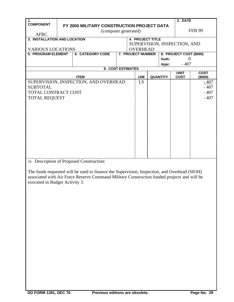| 1.                                    |  |                                            |  |  |                              |  |                 | 2. DATE                 |               |
|---------------------------------------|--|--------------------------------------------|--|--|------------------------------|--|-----------------|-------------------------|---------------|
| <b>COMPONENT</b>                      |  | FY 2000 MILITARY CONSTRUCTION PROJECT DATA |  |  |                              |  |                 |                         |               |
|                                       |  | (computer generated)                       |  |  |                              |  |                 |                         | <b>FEB 99</b> |
| <b>AFRC</b>                           |  |                                            |  |  |                              |  |                 |                         |               |
| 3. INSTALLATION AND LOCATION          |  |                                            |  |  | <b>4. PROJECT TITLE</b>      |  |                 |                         |               |
|                                       |  |                                            |  |  | SUPERVISION, INSPECTION, AND |  |                 |                         |               |
| <b>VARIOUS LOCATIONS</b>              |  |                                            |  |  | <b>OVERHEAD</b>              |  |                 |                         |               |
| <b>5. PROGRAM ELEMENT</b>             |  | <b>6. CATEGORY CODE</b>                    |  |  | 7. PROJECT NUMBER            |  |                 | 8. PROJECT COST (\$000) |               |
|                                       |  |                                            |  |  |                              |  | Auth:           | $\Omega$                |               |
|                                       |  |                                            |  |  |                              |  | Appr:           | $-407$                  |               |
|                                       |  | 9. COST ESTIMATES                          |  |  |                              |  |                 | <b>UNIT</b>             | <b>COST</b>   |
|                                       |  | <b>ITEM</b>                                |  |  | U/M                          |  | <b>QUANTITY</b> | <b>COST</b>             | (\$000)       |
| SUPERVISION, INSPECTION, AND OVERHEAD |  |                                            |  |  | LS                           |  |                 |                         | $-407$        |
| <b>SUBTOTAL</b>                       |  |                                            |  |  |                              |  |                 |                         | $-407$        |
| TOTAL CONTRACT COST                   |  |                                            |  |  |                              |  |                 |                         | $-407$        |
| <b>TOTAL REQUEST</b>                  |  |                                            |  |  |                              |  |                 |                         | $-407$        |
|                                       |  |                                            |  |  |                              |  |                 |                         |               |
|                                       |  |                                            |  |  |                              |  |                 |                         |               |
|                                       |  |                                            |  |  |                              |  |                 |                         |               |
|                                       |  |                                            |  |  |                              |  |                 |                         |               |
|                                       |  |                                            |  |  |                              |  |                 |                         |               |
|                                       |  |                                            |  |  |                              |  |                 |                         |               |
|                                       |  |                                            |  |  |                              |  |                 |                         |               |
|                                       |  |                                            |  |  |                              |  |                 |                         |               |
|                                       |  |                                            |  |  |                              |  |                 |                         |               |
|                                       |  |                                            |  |  |                              |  |                 |                         |               |
|                                       |  |                                            |  |  |                              |  |                 |                         |               |
| 10 December of Deeperad Construction  |  |                                            |  |  |                              |  |                 |                         |               |

10. Description of Proposed Construction:

The funds requested will be used to finance the Supervision, Inspection, and Overhead (SIOH) associated with Air Force Reserve Command Military Construction funded projects and will be executed in Budget Activity 3.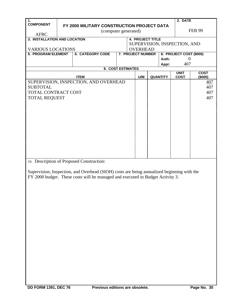| $\mathbf 1$ .                         |                          |                                                                                                                                                                                                                                                                                                                                    |  |  |                          |  |                 | 2. DATE                      |               |  |
|---------------------------------------|--------------------------|------------------------------------------------------------------------------------------------------------------------------------------------------------------------------------------------------------------------------------------------------------------------------------------------------------------------------------|--|--|--------------------------|--|-----------------|------------------------------|---------------|--|
| <b>COMPONENT</b>                      |                          | FY 2000 MILITARY CONSTRUCTION PROJECT DATA                                                                                                                                                                                                                                                                                         |  |  |                          |  |                 |                              |               |  |
| <b>AFRC</b>                           |                          | (computer generated)                                                                                                                                                                                                                                                                                                               |  |  |                          |  |                 |                              | <b>FEB 99</b> |  |
| 3. INSTALLATION AND LOCATION          |                          |                                                                                                                                                                                                                                                                                                                                    |  |  | <b>4. PROJECT TITLE</b>  |  |                 |                              |               |  |
|                                       |                          |                                                                                                                                                                                                                                                                                                                                    |  |  |                          |  |                 | SUPERVISION, INSPECTION, AND |               |  |
|                                       | <b>VARIOUS LOCATIONS</b> |                                                                                                                                                                                                                                                                                                                                    |  |  | <b>OVERHEAD</b>          |  |                 |                              |               |  |
| <b>5. PROGRAM ELEMENT</b>             |                          | <b>6. CATEGORY CODE</b>                                                                                                                                                                                                                                                                                                            |  |  | <b>7. PROJECT NUMBER</b> |  |                 | 8. PROJECT COST (\$000)      |               |  |
|                                       |                          |                                                                                                                                                                                                                                                                                                                                    |  |  |                          |  | Auth:           | $\theta$                     |               |  |
|                                       |                          |                                                                                                                                                                                                                                                                                                                                    |  |  |                          |  | Appr:           | 407                          |               |  |
|                                       |                          | 9. COST ESTIMATES                                                                                                                                                                                                                                                                                                                  |  |  |                          |  |                 | <b>UNIT</b>                  | <b>COST</b>   |  |
|                                       |                          | <b>ITEM</b>                                                                                                                                                                                                                                                                                                                        |  |  | U/M                      |  | <b>QUANTITY</b> | <b>COST</b>                  | (\$000)       |  |
| SUPERVISION, INSPECTION, AND OVERHEAD |                          |                                                                                                                                                                                                                                                                                                                                    |  |  |                          |  |                 |                              | 407           |  |
| <b>SUBTOTAL</b>                       |                          |                                                                                                                                                                                                                                                                                                                                    |  |  |                          |  |                 |                              | 407           |  |
| TOTAL CONTRACT COST                   |                          |                                                                                                                                                                                                                                                                                                                                    |  |  |                          |  |                 |                              | 407           |  |
| <b>TOTAL REQUEST</b>                  |                          |                                                                                                                                                                                                                                                                                                                                    |  |  |                          |  |                 |                              | 407           |  |
|                                       |                          |                                                                                                                                                                                                                                                                                                                                    |  |  |                          |  |                 |                              |               |  |
|                                       |                          |                                                                                                                                                                                                                                                                                                                                    |  |  |                          |  |                 |                              |               |  |
|                                       |                          |                                                                                                                                                                                                                                                                                                                                    |  |  |                          |  |                 |                              |               |  |
|                                       |                          |                                                                                                                                                                                                                                                                                                                                    |  |  |                          |  |                 |                              |               |  |
|                                       |                          |                                                                                                                                                                                                                                                                                                                                    |  |  |                          |  |                 |                              |               |  |
|                                       |                          |                                                                                                                                                                                                                                                                                                                                    |  |  |                          |  |                 |                              |               |  |
|                                       |                          |                                                                                                                                                                                                                                                                                                                                    |  |  |                          |  |                 |                              |               |  |
|                                       |                          |                                                                                                                                                                                                                                                                                                                                    |  |  |                          |  |                 |                              |               |  |
|                                       |                          |                                                                                                                                                                                                                                                                                                                                    |  |  |                          |  |                 |                              |               |  |
|                                       |                          |                                                                                                                                                                                                                                                                                                                                    |  |  |                          |  |                 |                              |               |  |
|                                       |                          |                                                                                                                                                                                                                                                                                                                                    |  |  |                          |  |                 |                              |               |  |
|                                       |                          | 10. Description of Proposed Construction:                                                                                                                                                                                                                                                                                          |  |  |                          |  |                 |                              |               |  |
| $\sim$                                |                          | $\mathbf{r}$ $\mathbf{r}$ $\mathbf{r}$ $\mathbf{r}$ $\mathbf{r}$ $\mathbf{r}$ $\mathbf{r}$ $\mathbf{r}$ $\mathbf{r}$ $\mathbf{r}$ $\mathbf{r}$ $\mathbf{r}$ $\mathbf{r}$ $\mathbf{r}$ $\mathbf{r}$ $\mathbf{r}$ $\mathbf{r}$ $\mathbf{r}$ $\mathbf{r}$ $\mathbf{r}$ $\mathbf{r}$ $\mathbf{r}$ $\mathbf{r}$ $\mathbf{r}$ $\mathbf{$ |  |  |                          |  |                 |                              |               |  |

Supervision, Inspection, and Overhead (SIOH) costs are being annualized beginning with the FY 2000 budget. These costs will be managed and executed in Budget Activity 3.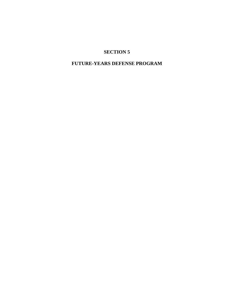#### **FUTURE-YEARS DEFENSE PROGRAM**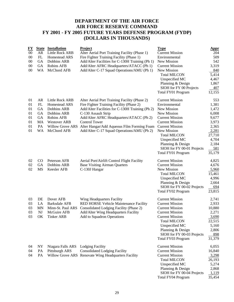#### **DEPARTMENT OF THE AIR FORCE AIR FORCE RESERVE COMMAND FY 2001 - FY 2005 FUTURE YEARS DEFENSE PROGRAM (FYDP) (DOLLARS IN THOUSANDS)**

| FY<br>00<br>00<br>00<br>00<br>00             | <b>State</b><br>AR<br>FL<br><b>GA</b><br><b>GA</b><br>WA          | <b>Installation</b><br><b>Little Rock ARB</b><br>Homestead ARS<br>Dobbins ARB<br><b>Robins AFB</b><br>McChord AFB                                    | <b>Project</b><br>Alter Aerial Port Training Facility (Phase 1)<br>Fire Fighter Training Facility (Phase 1)<br>Add/Alter Facilities for C-130H Training (Ph 1)<br>Add/Alter AFRC Headquarters/ATACC (Ph 1)<br>Add/Alter C-17 Squad Operations/AMU (Ph 1)                                                                            | <b>Type</b><br><b>Current Mission</b><br>Environmental<br>New Mission<br><b>Current Mission</b><br>New Mission<br><b>Total MILCON</b><br>Unspecified MC<br>Planning & Design                                                                     | <u>Appr</u><br>204<br>509<br>542<br>3,319<br>840<br>5,414<br>4,467<br>1,867                   |
|----------------------------------------------|-------------------------------------------------------------------|------------------------------------------------------------------------------------------------------------------------------------------------------|-------------------------------------------------------------------------------------------------------------------------------------------------------------------------------------------------------------------------------------------------------------------------------------------------------------------------------------|--------------------------------------------------------------------------------------------------------------------------------------------------------------------------------------------------------------------------------------------------|-----------------------------------------------------------------------------------------------|
| 01<br>01<br>01<br>01<br>01<br>01<br>01<br>01 | AR<br>FL<br><b>GA</b><br><b>GA</b><br><b>GA</b><br>MA<br>PA<br>WA | Little Rock ARB<br><b>Homestead ARS</b><br>Dobbins ARB<br>Dobbins ARB<br>Robins AFB<br><b>Westover ARB</b><br><b>Willow Grove ARS</b><br>McChord AFB | Alter Aerial Port Training Facility (Phase 2)<br>Fire Fighter Training Facility (Phase 2)<br>Add/Alter Facilities for C-130H Training (Ph 2)<br>C-130 Assault Strip<br>Add/Alter AFRC Headquarters/ATACC (Ph 2)<br><b>Control Tower</b><br>Alter Hangar/Add Aqueous Film Forming Foam<br>Add/Alter C-17 Squad Operations/AMU (Ph 2) | SIOH for FY 00 Projects<br>Total FY01 Program<br><b>Current Mission</b><br>Environmental<br>New Mission<br>New Mission<br><b>Current Mission</b><br><b>Current Mission</b><br><b>Current Mission</b><br>New Mission<br><b>Total MILCON</b>       | 407<br>12,155<br>553<br>1,381<br>1,472<br>6,008<br>9,677<br>3,973<br>2,365<br>2,281<br>27,710 |
| 02<br>02                                     | $\rm CO$<br><b>GA</b>                                             | Peterson AFB<br>Dobbins ARB                                                                                                                          | Aerial Port/Airlift Control Flight Facility<br><b>Base Visiting Airman Quarters</b>                                                                                                                                                                                                                                                 | Unspecified MC<br>Planning & Design<br>SIOH for FY 00-01 Projects<br>Total FY01 Program<br><b>Current Mission</b><br><b>Current Mission</b>                                                                                                      | 4,704<br>2,184<br>581<br>35,179<br>4,825<br>4,676                                             |
| 02                                           | MS                                                                | <b>Keesler AFB</b>                                                                                                                                   | C-130J Hangar                                                                                                                                                                                                                                                                                                                       | New Mission<br><b>Total MILCON</b><br>Unspecified MC<br>Planning & Design<br>SIOH for FY 00-02 Projects<br>Total FY02 Program                                                                                                                    | 5,960<br>15,461<br>4,996<br>2,664<br>694<br>23,815                                            |
| 03<br>03<br>03<br>03<br>03                   | DE<br>LA<br><b>MN</b><br>NJ<br>OK                                 | Dover AFB<br><b>Barksdale AFB</b><br>Minn-St. Paul ARS<br>McGuire AFB<br><b>Tinker ARB</b>                                                           | Wing Headquarters Facility<br>RED HORSE Vehicle Maintenance Facility<br>Consolidated Lodging Facility (Phase 2)<br>Add/Alter Wing Headquarters Facility<br>Add to Squadron Operations                                                                                                                                               | <b>Current Mission</b><br><b>Current Mission</b><br><b>Current Mission</b><br><b>Current Mission</b><br><b>Current Mission</b><br><b>Total MILCON</b><br>Unspecified MC<br>Planning & Design<br>SIOH for FY 00-03 Projects<br>Total FY03 Program | 2,741<br>2,933<br>10,880<br>2,271<br>3,690<br>22,515<br>5,160<br>2,806<br>898<br>31,379       |
| 04<br>04<br>04                               | <b>NY</b><br>PA<br>PA                                             | Niagara Falls ARS<br>Pittsburgh ARS                                                                                                                  | <b>Lodging Facility</b><br><b>Consolidated Lodging Facility</b><br>Willow Grove ARS Renovate Wing Headquarters Facility                                                                                                                                                                                                             | <b>Current Mission</b><br><b>Current Mission</b><br><b>Current Mission</b><br><b>Total MILCON</b><br>Unspecified MC<br>Planning & Design<br>SIOH for FY 00-04 Projects<br>Total FY04 Program                                                     | 6,055<br>16,840<br>3,298<br>26,193<br>5,274<br>2,868<br>1,119<br>35,454                       |